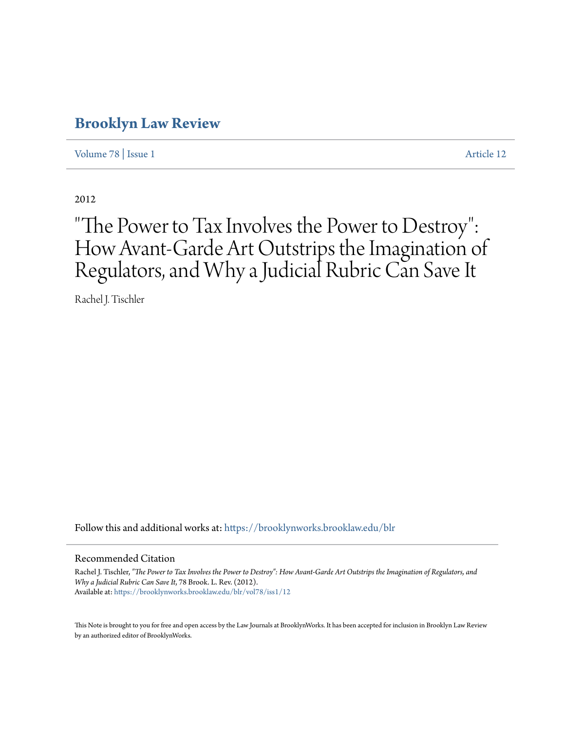## **[Brooklyn Law Review](https://brooklynworks.brooklaw.edu/blr?utm_source=brooklynworks.brooklaw.edu%2Fblr%2Fvol78%2Fiss1%2F12&utm_medium=PDF&utm_campaign=PDFCoverPages)**

[Volume 78](https://brooklynworks.brooklaw.edu/blr/vol78?utm_source=brooklynworks.brooklaw.edu%2Fblr%2Fvol78%2Fiss1%2F12&utm_medium=PDF&utm_campaign=PDFCoverPages) | [Issue 1](https://brooklynworks.brooklaw.edu/blr/vol78/iss1?utm_source=brooklynworks.brooklaw.edu%2Fblr%2Fvol78%2Fiss1%2F12&utm_medium=PDF&utm_campaign=PDFCoverPages) [Article 12](https://brooklynworks.brooklaw.edu/blr/vol78/iss1/12?utm_source=brooklynworks.brooklaw.edu%2Fblr%2Fvol78%2Fiss1%2F12&utm_medium=PDF&utm_campaign=PDFCoverPages)

2012

# "The Power to Tax Involves the Power to Destroy": How Avant-Garde Art Outstrips the Imagination of Regulators, and Why a Judicial Rubric Can Save It

Rachel J. Tischler

Follow this and additional works at: [https://brooklynworks.brooklaw.edu/blr](https://brooklynworks.brooklaw.edu/blr?utm_source=brooklynworks.brooklaw.edu%2Fblr%2Fvol78%2Fiss1%2F12&utm_medium=PDF&utm_campaign=PDFCoverPages)

## Recommended Citation

Rachel J. Tischler, *"The Power to Tax Involves the Power to Destroy": How Avant-Garde Art Outstrips the Imagination of Regulators, and Why a Judicial Rubric Can Save It*, 78 Brook. L. Rev. (2012). Available at: [https://brooklynworks.brooklaw.edu/blr/vol78/iss1/12](https://brooklynworks.brooklaw.edu/blr/vol78/iss1/12?utm_source=brooklynworks.brooklaw.edu%2Fblr%2Fvol78%2Fiss1%2F12&utm_medium=PDF&utm_campaign=PDFCoverPages)

This Note is brought to you for free and open access by the Law Journals at BrooklynWorks. It has been accepted for inclusion in Brooklyn Law Review by an authorized editor of BrooklynWorks.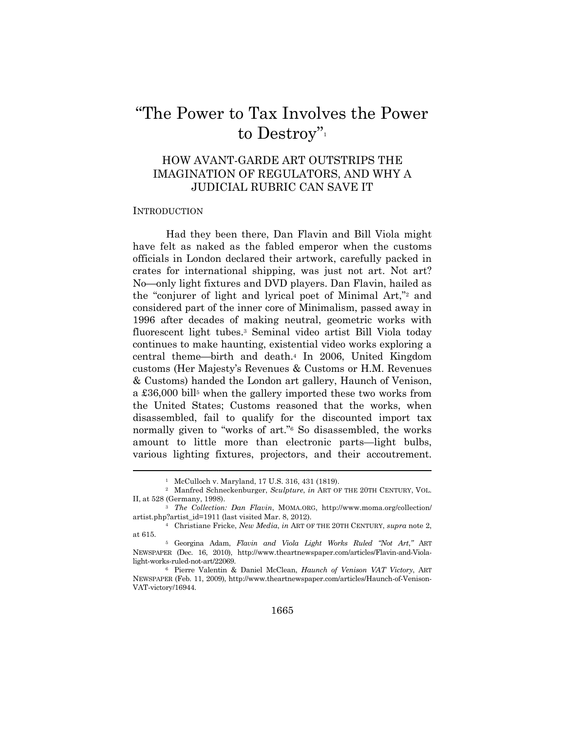## "The Power to Tax Involves the Power to Destroy"

## HOW AVANT-GARDE ART OUTSTRIPS THE IMAGINATION OF REGULATORS, AND WHY A JUDICIAL RUBRIC CAN SAVE IT

#### **INTRODUCTION**

 $\overline{a}$ 

Had they been there, Dan Flavin and Bill Viola might have felt as naked as the fabled emperor when the customs officials in London declared their artwork, carefully packed in crates for international shipping, was just not art. Not art? No-only light fixtures and DVD players. Dan Flavin, hailed as the "conjurer of light and lyrical poet of Minimal Art,"2 and considered part of the inner core of Minimalism, passed away in 1996 after decades of making neutral, geometric works with fluorescent light tubes.3 Seminal video artist Bill Viola today continues to make haunting, existential video works exploring a central theme⎯birth and death.4 In 2006, United Kingdom customs (Her Majesty's Revenues & Customs or H.M. Revenues & Customs) handed the London art gallery, Haunch of Venison, a £36,000 bill<sup>5</sup> when the gallery imported these two works from the United States; Customs reasoned that the works, when disassembled, fail to qualify for the discounted import tax normally given to "works of art."6 So disassembled, the works amount to little more than electronic parts—light bulbs, various lighting fixtures, projectors, and their accoutrement.

<sup>1</sup> McCulloch v. Maryland, 17 U.S. 316, 431 (1819).

<sup>2</sup> Manfred Schneckenburger, *Sculpture*, *in* ART OF THE 20TH CENTURY, VOL.

II, at 528 (Germany, 1998). 3 *The Collection: Dan Flavin*, MOMA.ORG, http://www.moma.org/collection/

<sup>&</sup>lt;sup>4</sup> Christiane Fricke, *New Media, in* ART OF THE 20TH CENTURY, *supra* note 2, at 615. 5 Georgina Adam, *Flavin and Viola Light Works Ruled "Not Art*,*"* ART

NEWSPAPER (Dec. 16, 2010), http://www.theartnewspaper.com/articles/Flavin-and-Violalight-works-ruled-not-art/22069. 6 Pierre Valentin & Daniel McClean, *Haunch of Venison VAT Victory*, ART

NEWSPAPER (Feb. 11, 2009), http://www.theartnewspaper.com/articles/Haunch-of-Venison-VAT-victory/16944.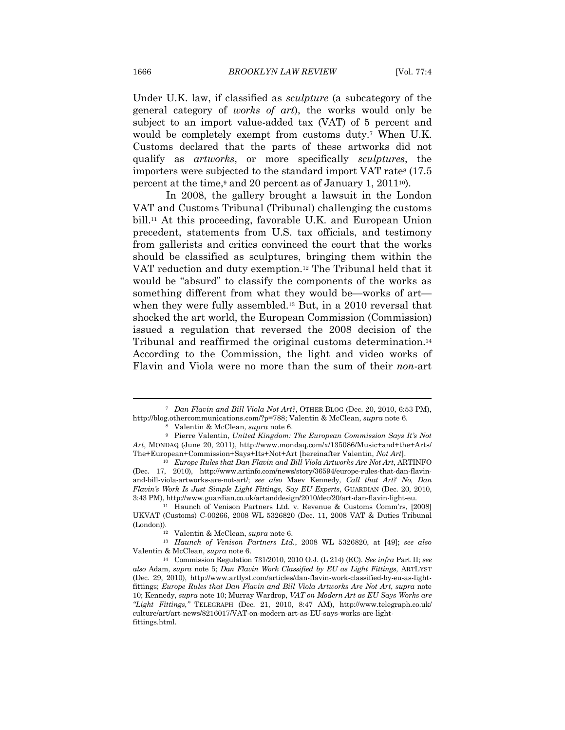Under U.K. law, if classified as *sculpture* (a subcategory of the general category of *works of art*), the works would only be subject to an import value-added tax (VAT) of 5 percent and would be completely exempt from customs duty.7 When U.K. Customs declared that the parts of these artworks did not qualify as *artworks*, or more specifically *sculptures*, the importers were subjected to the standard import VAT rate<sup>8</sup> (17.5) percent at the time,<sup>9</sup> and 20 percent as of January 1, 2011<sup>10</sup>).

In 2008, the gallery brought a lawsuit in the London VAT and Customs Tribunal (Tribunal) challenging the customs bill.11 At this proceeding, favorable U.K. and European Union precedent, statements from U.S. tax officials, and testimony from gallerists and critics convinced the court that the works should be classified as sculptures, bringing them within the VAT reduction and duty exemption.12 The Tribunal held that it would be "absurd" to classify the components of the works as something different from what they would be—works of art when they were fully assembled.13 But, in a 2010 reversal that shocked the art world, the European Commission (Commission) issued a regulation that reversed the 2008 decision of the Tribunal and reaffirmed the original customs determination.14 According to the Commission, the light and video works of Flavin and Viola were no more than the sum of their *non*-art

<sup>7</sup> *Dan Flavin and Bill Viola Not Art?*, OTHER BLOG (Dec. 20, 2010, 6:53 PM), http://blog.othercommunications.com/?p=788; Valentin & McClean, *supra* note 6.<br><sup>8</sup> Valentin & McClean, *supra* note 6.<br><sup>9</sup> Pierre Valentin, *United Kingdom: The European Commission Says It's Not* 

*Art*, MONDAQ (June 20, 2011), http://www.mondaq.com/x/135086/Music+and+the+Arts/ The+European+Commission+Says+Its+Not+Art [hereinafter Valentin, *Not Art*]. 10 *Europe Rules that Dan Flavin and Bill Viola Artworks Are Not Art*, ARTINFO

<sup>(</sup>Dec. 17, 2010), http://www.artinfo.com/news/story/36594/europe-rules-that-dan-flavinand-bill-viola-artworks-are-not-art/; *see also* Maev Kennedy, *Call that Art? No, Dan Flavin's Work Is Just Simple Light Fittings, Say EU Experts*, GUARDIAN (Dec. 20, 2010, 3:43 PM), http://www.guardian.co.uk/artanddesign/2010/dec/20/art-dan-flavin-light-eu. 11 Haunch of Venison Partners Ltd. v. Revenue & Customs Comm'rs, [2008]

UKVAT (Customs) C-00266, 2008 WL 5326820 (Dec. 11, 2008 VAT & Duties Tribunal (London)). 12 Valentin & McClean, *supra* note 6. 13 *Haunch of Venison Partners Ltd.*, 2008 WL 5326820, at [49]; *see also* 

Valentin & McClean, *supra* note 6. 14 Commission Regulation 731/2010, 2010 O.J. (L 214) (EC). *See infra* Part II; *see* 

*also* Adam, *supra* note 5; *Dan Flavin Work Classified by EU as Light Fittings*, ARTLYST (Dec. 29, 2010), http://www.artlyst.com/articles/dan-flavin-work-classified-by-eu-as-lightfittings; *Europe Rules that Dan Flavin and Bill Viola Artworks Are Not Art*, *supra* note 10; Kennedy, *supra* note 10; Murray Wardrop, *VAT on Modern Art as EU Says Works are "Light Fittings*,*"* TELEGRAPH (Dec. 21, 2010, 8:47 AM), http://www.telegraph.co.uk/ culture/art/art-news/8216017/VAT-on-modern-art-as-EU-says-works-are-lightfittings.html.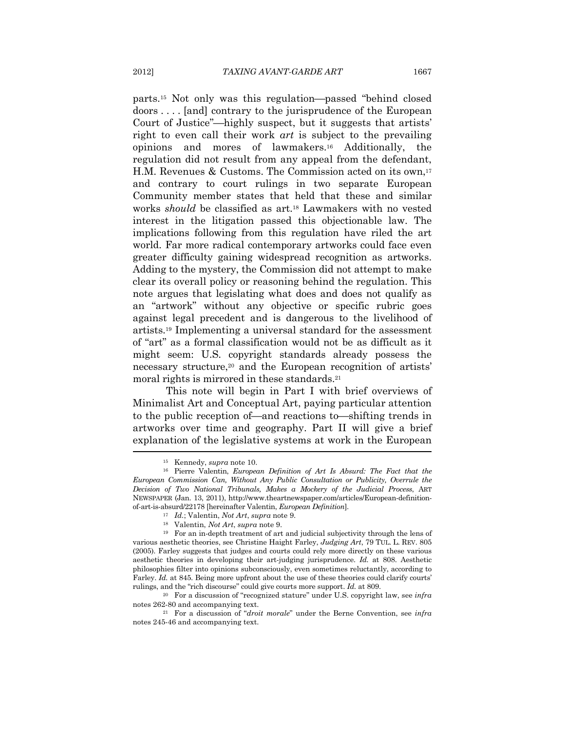parts.<sup>15</sup> Not only was this regulation—passed "behind closed" doors . . . . [and] contrary to the jurisprudence of the European Court of Justice"—highly suspect, but it suggests that artists' right to even call their work *art* is subject to the prevailing opinions and mores of lawmakers.16 Additionally, the regulation did not result from any appeal from the defendant, H.M. Revenues & Customs. The Commission acted on its own,<sup>17</sup> and contrary to court rulings in two separate European Community member states that held that these and similar works *should* be classified as art.18 Lawmakers with no vested interest in the litigation passed this objectionable law. The implications following from this regulation have riled the art world. Far more radical contemporary artworks could face even greater difficulty gaining widespread recognition as artworks. Adding to the mystery, the Commission did not attempt to make clear its overall policy or reasoning behind the regulation. This note argues that legislating what does and does not qualify as an "artwork" without any objective or specific rubric goes against legal precedent and is dangerous to the livelihood of artists.19 Implementing a universal standard for the assessment of "art" as a formal classification would not be as difficult as it might seem: U.S. copyright standards already possess the necessary structure,<sup>20</sup> and the European recognition of artists' moral rights is mirrored in these standards.<sup>21</sup>

This note will begin in Part I with brief overviews of Minimalist Art and Conceptual Art, paying particular attention to the public reception of—and reactions to—shifting trends in artworks over time and geography. Part II will give a brief explanation of the legislative systems at work in the European

<sup>&</sup>lt;sup>15</sup> Kennedy, *supra* note 10.<br><sup>16</sup> Pierre Valentin, *European Definition of Art Is Absurd: The Fact that the European Commission Can, Without Any Public Consultation or Publicity, Overrule the Decision of Two National Tribunals, Makes a Mockery of the Judicial Process*, ART NEWSPAPER (Jan. 13, 2011), http://www.theartnewspaper.com/articles/European-definitionof-art-is-absurd/22178 [hereinafter Valentin, *European Definition*].<br>
<sup>17</sup> *Id.*; Valentin, *Not Art, supra* note 9.<br>
<sup>18</sup> Valentin, *Not Art, supra* note 9.<br>
<sup>19</sup> For an in-depth treatment of art and judicial subjectivi

various aesthetic theories, see Christine Haight Farley, *Judging Art*, 79 TUL. L. REV. 805 (2005). Farley suggests that judges and courts could rely more directly on these various aesthetic theories in developing their art-judging jurisprudence. *Id.* at 808. Aesthetic philosophies filter into opinions subconsciously, even sometimes reluctantly, according to Farley. *Id.* at 845. Being more upfront about the use of these theories could clarify courts' rulings, and the "rich discourse" could give courts more support. *Id.* at 809.<br><sup>20</sup> For a discussion of "recognized stature" under U.S. copyright law, see *infra* 

notes 262-80 and accompanying text. 21 For a discussion of "*droit morale*" under the Berne Convention, see *infra* 

notes 245-46 and accompanying text.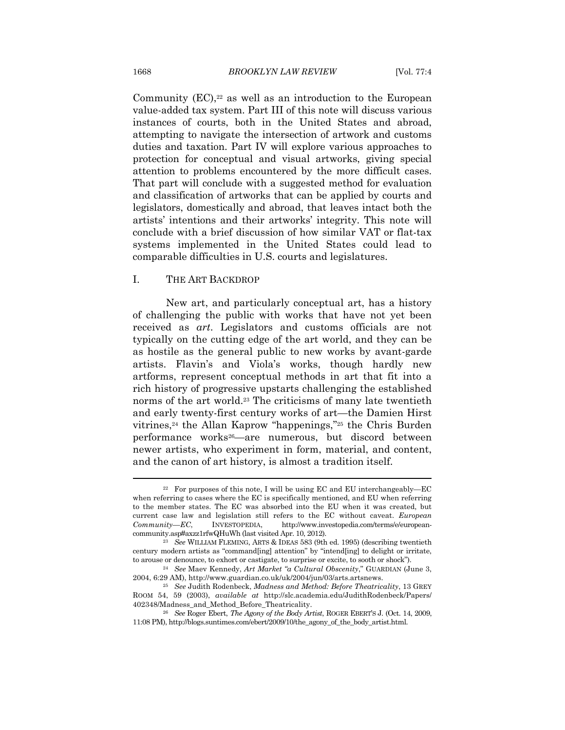Community  $(EC)$ ,<sup>22</sup> as well as an introduction to the European value-added tax system. Part III of this note will discuss various instances of courts, both in the United States and abroad, attempting to navigate the intersection of artwork and customs duties and taxation. Part IV will explore various approaches to protection for conceptual and visual artworks, giving special attention to problems encountered by the more difficult cases. That part will conclude with a suggested method for evaluation and classification of artworks that can be applied by courts and legislators, domestically and abroad, that leaves intact both the artists' intentions and their artworks' integrity. This note will conclude with a brief discussion of how similar VAT or flat-tax systems implemented in the United States could lead to comparable difficulties in U.S. courts and legislatures.

## I. THE ART BACKDROP

New art, and particularly conceptual art, has a history of challenging the public with works that have not yet been received as *art*. Legislators and customs officials are not typically on the cutting edge of the art world, and they can be as hostile as the general public to new works by avant-garde artists. Flavin's and Viola's works, though hardly new artforms, represent conceptual methods in art that fit into a rich history of progressive upstarts challenging the established norms of the art world.23 The criticisms of many late twentieth and early twenty-first century works of art—the Damien Hirst vitrines,24 the Allan Kaprow "happenings,"25 the Chris Burden performance works26—are numerous, but discord between newer artists, who experiment in form, material, and content, and the canon of art history, is almost a tradition itself.

<sup>&</sup>lt;sup>22</sup> For purposes of this note, I will be using EC and EU interchangeably—EC when referring to cases where the EC is specifically mentioned, and EU when referring to the member states. The EC was absorbed into the EU when it was created, but current case law and legislation still refers to the EC without caveat. *European Community—EC*, INVESTOPEDIA, http://www.investopedia.com/terms/e/europeancommunity.asp#axzz1rfwQHuWh (last visited Apr. 10, 2012). 23 *See* WILLIAM FLEMING, ARTS & IDEAS 583 (9th ed. 1995) (describing twentieth

century modern artists as "command[ing] attention" by "intend[ing] to delight or irritate, to arouse or denounce, to exhort or castigate, to surprise or excite, to sooth or shock"). 24 *See* Maev Kennedy, *Art Market "a Cultural Obscenity*," GUARDIAN (June 3,

<sup>2004, 6:29</sup> AM), http://www.guardian.co.uk/uk/2004/jun/03/arts.artsnews. 25 *See* Judith Rodenbeck, *Madness and Method: Before Theatricality*, 13 GREY

ROOM 54, 59 (2003), *available at* http://slc.academia.edu/JudithRodenbeck/Papers/ 402348/Madness\_and\_Method\_Before\_Theatricality. 26 *See* Roger Ebert, *The Agony of the Body Artist*, ROGER EBERT'S J. (Oct. 14, 2009,

<sup>11:08</sup> PM), http://blogs.suntimes.com/ebert/2009/10/the\_agony\_of\_the\_body\_artist.html.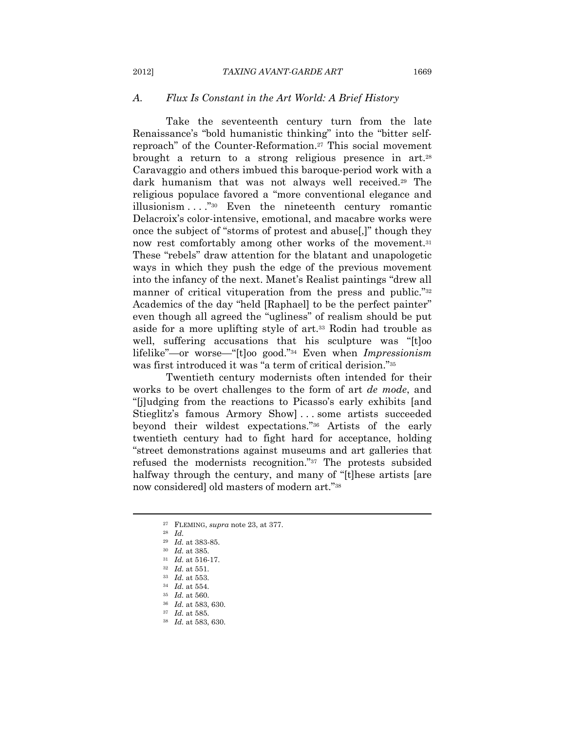## *A. Flux Is Constant in the Art World: A Brief History*

Take the seventeenth century turn from the late Renaissance's "bold humanistic thinking" into the "bitter selfreproach" of the Counter-Reformation.27 This social movement brought a return to a strong religious presence in art.28 Caravaggio and others imbued this baroque-period work with a dark humanism that was not always well received.29 The religious populace favored a "more conventional elegance and illusionism . . . ."30 Even the nineteenth century romantic Delacroix's color-intensive, emotional, and macabre works were once the subject of "storms of protest and abuse[,]" though they now rest comfortably among other works of the movement.<sup>31</sup> These "rebels" draw attention for the blatant and unapologetic ways in which they push the edge of the previous movement into the infancy of the next. Manet's Realist paintings "drew all manner of critical vituperation from the press and public."<sup>32</sup> Academics of the day "held [Raphael] to be the perfect painter" even though all agreed the "ugliness" of realism should be put aside for a more uplifting style of art.33 Rodin had trouble as well, suffering accusations that his sculpture was "[t]oo lifelike"—or worse—"[t]oo good."34 Even when *Impressionism* was first introduced it was "a term of critical derision."35

Twentieth century modernists often intended for their works to be overt challenges to the form of art *de mode*, and "[j]udging from the reactions to Picasso's early exhibits [and Stieglitz's famous Armory Show] . . . some artists succeeded beyond their wildest expectations."36 Artists of the early twentieth century had to fight hard for acceptance, holding "street demonstrations against museums and art galleries that refused the modernists recognition."37 The protests subsided halfway through the century, and many of "[t]hese artists [are now considered] old masters of modern art."38

<sup>&</sup>lt;sup>27</sup> FLEMING, *supra* note 23, at 377.<br><sup>28</sup> *Id.* at 383-85.

 $\begin{array}{ll} \hbox{1d. at 383-85.}\ \hbox{39} & \hbox{Id. at 385.}\ \hbox{31} & \hbox{Id. at 516-17.}\ \hbox{32} & \hbox{Id. at 551.}\ \hbox{33} & \hbox{Id. at 553.}\ \hbox{34} & \hbox{Id. at 554.}\ \hbox{35} & \hbox{Id. at 554.}\ \hbox{36} & \hbox{Id. at 558.}\ \hbox{37} & \hbox{Id. at 588, 630.}\ \hbox{38} & \hbox{Id. at 588.$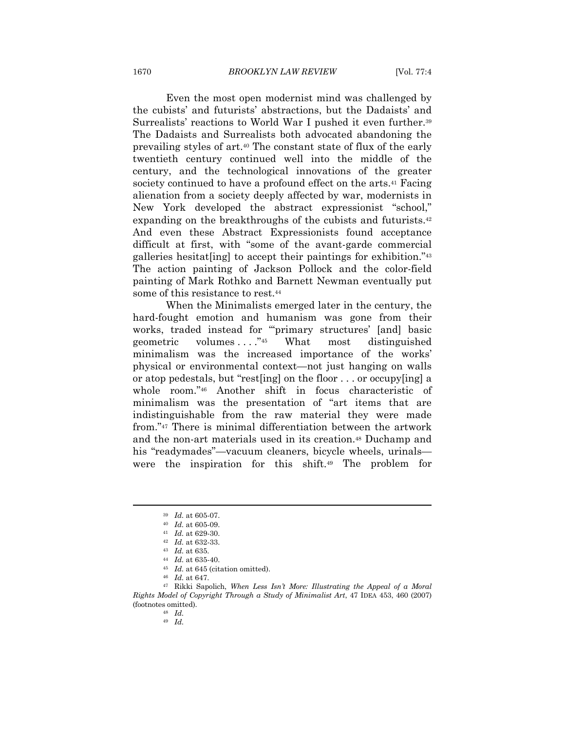Even the most open modernist mind was challenged by the cubists' and futurists' abstractions, but the Dadaists' and Surrealists' reactions to World War I pushed it even further.39 The Dadaists and Surrealists both advocated abandoning the prevailing styles of art.40 The constant state of flux of the early twentieth century continued well into the middle of the century, and the technological innovations of the greater society continued to have a profound effect on the arts.<sup>41</sup> Facing alienation from a society deeply affected by war, modernists in New York developed the abstract expressionist "school," expanding on the breakthroughs of the cubists and futurists.42 And even these Abstract Expressionists found acceptance difficult at first, with "some of the avant-garde commercial galleries hesitat[ing] to accept their paintings for exhibition."43 The action painting of Jackson Pollock and the color-field painting of Mark Rothko and Barnett Newman eventually put some of this resistance to rest.<sup>44</sup>

When the Minimalists emerged later in the century, the hard-fought emotion and humanism was gone from their works, traded instead for "'primary structures' [and] basic geometric volumes . . . ."45 What most distinguished minimalism was the increased importance of the works' physical or environmental context—not just hanging on walls or atop pedestals, but "rest[ing] on the floor . . . or occupy[ing] a whole room."46 Another shift in focus characteristic of minimalism was the presentation of "art items that are indistinguishable from the raw material they were made from."47 There is minimal differentiation between the artwork and the non-art materials used in its creation.48 Duchamp and his "readymades"—vacuum cleaners, bicycle wheels, urinals were the inspiration for this shift.49 The problem for

<sup>&</sup>lt;sup>39</sup> *Id.* at 605-07.<br><sup>40</sup> *Id.* at 605-09.<br><sup>41</sup> *Id.* at 629-30.<br><sup>42</sup> *Id.* at 632-33.<br><sup>43</sup> *Id.* at 635.<br><sup>44</sup> *Id.* at 645 (citation omitted).<br><sup>45</sup> *Id.* at 647.<br><sup>46</sup> *Id.* at 647.<br><sup>47</sup> Rikki Sapolich, *When Less Isn't Rights Model of Copyright Through a Study of Minimalist Art*, 47 IDEA 453, 460 (2007) % (footnotes omitted).  $18\quad \, \mathrm{Id.}$ 

<sup>49</sup> *Id.*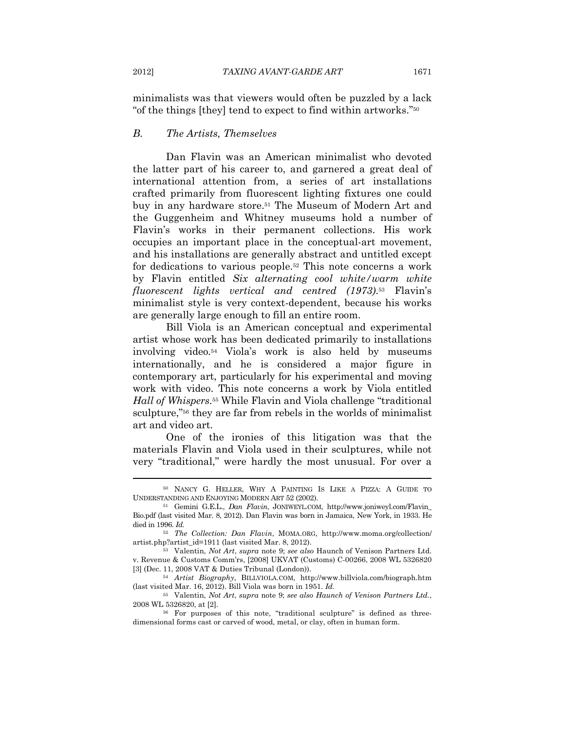minimalists was that viewers would often be puzzled by a lack "of the things [they] tend to expect to find within artworks."50

### *B. The Artists, Themselves*

Dan Flavin was an American minimalist who devoted the latter part of his career to, and garnered a great deal of international attention from, a series of art installations crafted primarily from fluorescent lighting fixtures one could buy in any hardware store.<sup>51</sup> The Museum of Modern Art and the Guggenheim and Whitney museums hold a number of Flavin's works in their permanent collections. His work occupies an important place in the conceptual-art movement, and his installations are generally abstract and untitled except for dedications to various people.52 This note concerns a work by Flavin entitled *Six alternating cool white/warm white fluorescent lights vertical and centred (1973)*.53 Flavin's minimalist style is very context-dependent, because his works are generally large enough to fill an entire room.

Bill Viola is an American conceptual and experimental artist whose work has been dedicated primarily to installations involving video.54 Viola's work is also held by museums internationally, and he is considered a major figure in contemporary art, particularly for his experimental and moving work with video. This note concerns a work by Viola entitled *Hall of Whispers*.55 While Flavin and Viola challenge "traditional sculpture,"<sup>56</sup> they are far from rebels in the worlds of minimalist art and video art.

One of the ironies of this litigation was that the materials Flavin and Viola used in their sculptures, while not very "traditional," were hardly the most unusual. For over a

55 Valentin, *Not Art*, *supra* note 9; *see also Haunch of Venison Partners Ltd.*, 2008 WL 5326820, at [2]. 56 For purposes of this note, "traditional sculpture" is defined as three-

<sup>50</sup> NANCY G. HELLER, WHY A PAINTING IS LIKE A PIZZA: A GUIDE TO UNDERSTANDING AND ENJOYING MODERN ART 52 (2002). 51 Gemini G.E.L., *Dan Flavin*, JONIWEYL.COM, http://www.joniweyl.com/Flavin\_

Bio.pdf (last visited Mar. 8, 2012). Dan Flavin was born in Jamaica, New York, in 1933. He died in 1996. *Id.* 

<sup>52</sup> *The Collection: Dan Flavin*, MOMA.ORG, http://www.moma.org/collection/ artist.php?artist\_id=1911 (last visited Mar. 8, 2012). 53 Valentin, *Not Art*, *supra* note 9; *see also* Haunch of Venison Partners Ltd.

v. Revenue & Customs Comm'rs, [2008] UKVAT (Customs) C-00266, 2008 WL 5326820 [3] (Dec. 11, 2008 VAT & Duties Tribunal (London)). 54 *Artist Biography*, BILLVIOLA.COM, http://www.billviola.com/biograph.htm

<sup>(</sup>last visited Mar. 16, 2012). Bill Viola was born in 1951. *Id.* 

dimensional forms cast or carved of wood, metal, or clay, often in human form.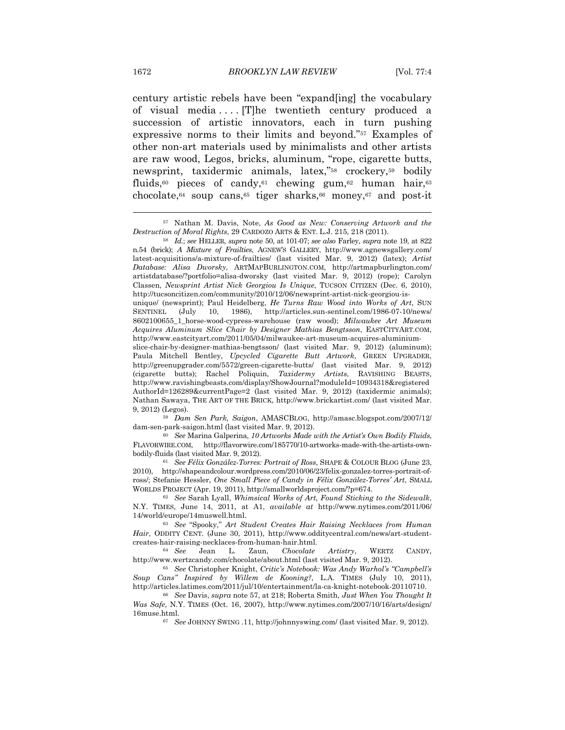century artistic rebels have been "expand[ing] the vocabulary of visual media . . . . [T]he twentieth century produced a succession of artistic innovators, each in turn pushing expressive norms to their limits and beyond."57 Examples of other non-art materials used by minimalists and other artists are raw wood, Legos, bricks, aluminum, "rope, cigarette butts, newsprint, taxidermic animals, latex,"58 crockery,59 bodily fluids,<sup>60</sup> pieces of candy,<sup>61</sup> chewing gum,<sup>62</sup> human hair,<sup>63</sup> chocolate,<sup>64</sup> soup cans,<sup>65</sup> tiger sharks,<sup>66</sup> money,<sup>67</sup> and post-it

57 Nathan M. Davis, Note, *As Good as New: Conserving Artwork and the Destruction of Moral Rights*, 29 CARDOZO ARTS & ENT. L.J. 215, 218 (2011). 58 *Id.*; *see* HELLER, *supra* note 50, at 101-07; *see also* Farley, *supra* note 19, at 822

dam-sen-park-saigon.html (last visited Mar. 9, 2012). 60 *See* Marina Galperina, *10 Artworks Made with the Artist's Own Bodily Fluids*,

FLAVORWIRE.COM, http://flavorwire.com/185770/10-artworks-made-with-the-artists-ownbodily-fluids (last visited Mar. 9, 2012). 61 *See Félix González-Torres: Portrait of Ross*, SHAPE & COLOUR BLOG (June 23,

2010), http://shapeandcolour.wordpress.com/2010/06/23/felix-gonzalez-torres-portrait-ofross/; Stefanie Hessler, *One Small Piece of Candy in Félix González-Torres' Art*, SMALL WORLDS PROJECT (Apr. 19, 2011), http://smallworldsproject.com/?p=674. 62 *See* Sarah Lyall, *Whimsical Works of Art, Found Sticking to the Sidewalk*,

N.Y. TIMES, June 14, 2011, at A1, *available at* http://www.nytimes.com/2011/06/ 14/world/europe/14muswell.html. 63 *See* "Spooky," *Art Student Creates Hair Raising Necklaces from Human* 

*Hair*, ODDITY CENT. (June 30, 2011), http://www.odditycentral.com/news/art-studentcreates-hair-raising-necklaces-from-human-hair.html. 64 *See* Jean L. Zaun, *Chocolate Artistry*, WERTZ CANDY,

http://www.wertzcandy.com/chocolate/about.html (last visited Mar. 9, 2012). 65 *See* Christopher Knight, *Critic's Notebook: Was Andy Warhol's "Campbell's* 

*Soup Cans" Inspired by Willem de Kooning?*, L.A. TIMES (July 10, 2011), http://articles.latimes.com/2011/jul/10/entertainment/la-ca-knight-notebook-20110710. 66 *See* Davis, *supra* note 57, at 218; Roberta Smith, *Just When You Thought It* 

*Was Safe*, N.Y. TIMES (Oct. 16, 2007), http://www.nytimes.com/2007/10/16/arts/design/ 16muse.html. 67 *See* JOHNNY SWING .11, http://johnnyswing.com/ (last visited Mar. 9, 2012).

n.54 (brick); *A Mixture of Frailties*, AGNEW'S GALLERY, http://www.agnewsgallery.com/ latest-acquisitions/a-mixture-of-frailties/ (last visited Mar. 9, 2012) (latex); *Artist Database: Alisa Dworsky*, ARTMAPBURLINGTON.COM, http://artmapburlington.com/ artistdatabase/?portfolio=alisa-dworsky (last visited Mar. 9, 2012) (rope); Carolyn Classen, *Newsprint Artist Nick Georgiou Is Unique*, TUCSON CITIZEN (Dec. 6, 2010), http://tucsoncitizen.com/community/2010/12/06/newsprint-artist-nick-georgiou-is-

unique/ (newsprint); Paul Heidelberg, *He Turns Raw Wood into Works of Art*, SUN SENTINEL (July 10, 1986), http://articles.sun-sentinel.com/1986-07-10/news/ 8602100655\_1\_horse-wood-cypress-warehouse (raw wood); *Milwaukee Art Museum Acquires Aluminum Slice Chair by Designer Mathias Bengtsson*, EASTCITYART.COM, http://www.eastcityart.com/2011/05/04/milwaukee-art-museum-acquires-aluminium-

slice-chair-by-designer-mathias-bengtsson/ (last visited Mar. 9, 2012) (aluminum); Paula Mitchell Bentley, *Upcycled Cigarette Butt Artwork*, GREEN UPGRADER, http://greenupgrader.com/5572/green-cigarette-butts/ (last visited Mar. 9, 2012) (cigarette butts); Rachel Poliquin, *Taxidermy Artists*, RAVISHING BEASTS, http://www.ravishingbeasts.com/display/ShowJournal?moduleId=10934318&registered AuthorId=126289&currentPage=2 (last visited Mar. 9, 2012) (taxidermic animals); Nathan Sawaya, THE ART OF THE BRICK, http://www.brickartist.com/ (last visited Mar. 9, 2012) (Legos). 59 *Dam Sen Park, Saigon*, AMASCBLOG, http://amasc.blogspot.com/2007/12/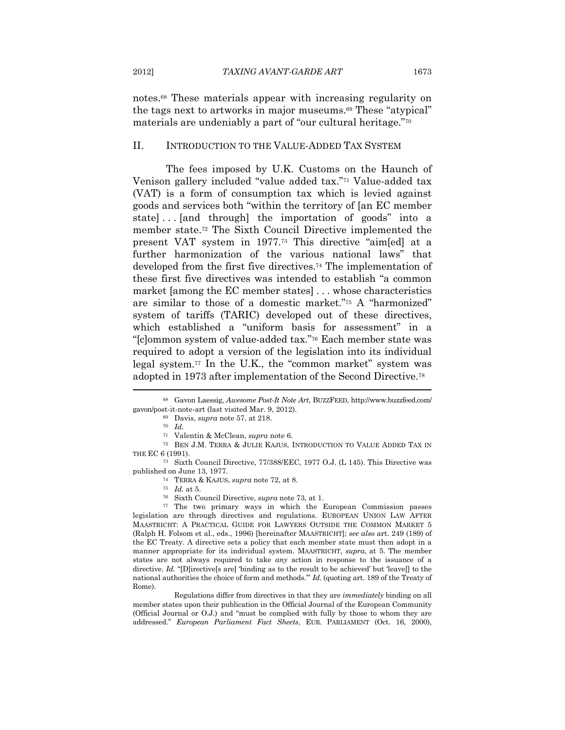notes.68 These materials appear with increasing regularity on the tags next to artworks in major museums.69 These "atypical" materials are undeniably a part of "our cultural heritage."70

#### II. INTRODUCTION TO THE VALUE-ADDED TAX SYSTEM

The fees imposed by U.K. Customs on the Haunch of Venison gallery included "value added tax."71 Value-added tax (VAT) is a form of consumption tax which is levied against goods and services both "within the territory of [an EC member state]... [and through] the importation of goods" into a member state.72 The Sixth Council Directive implemented the present VAT system in 1977.73 This directive "aim[ed] at a further harmonization of the various national laws" that developed from the first five directives.74 The implementation of these first five directives was intended to establish "a common market [among the EC member states] . . . whose characteristics are similar to those of a domestic market."75 A "harmonized" system of tariffs (TARIC) developed out of these directives, which established a "uniform basis for assessment" in a "[c]ommon system of value-added tax."76 Each member state was required to adopt a version of the legislation into its individual legal system.77 In the U.K., the "common market" system was adopted in 1973 after implementation of the Second Directive.78

<sup>68</sup> Gavon Laessig, *Awesome Post-It Note Art*, BUZZFEED, http://www.buzzfeed.com/ gavon/post-it-note-art (last visited Mar. 9, 2012).<br><sup>69</sup> Davis, *supra* note 57, at 218.<br><sup>70</sup> *Id.*<br><sup>71</sup> Valentin & McClean, *supra* note 6.

<sup>&</sup>lt;sup>72</sup> BEN J.M. TERRA & JULIE KAJUS, INTRODUCTION TO VALUE ADDED TAX IN THE EC 6 (1991). 73 Sixth Council Directive, 77/388/EEC, 1977 O.J. (L 145). This Directive was

published on June 13, 1977.<br><sup>74</sup> TERRA & KAJUS, *supra* note 72, at 8.<br><sup>75</sup> *Id.* at 5.<br><sup>76</sup> Sixth Council Directive, *supra* note 73, at 1.<br><sup>77</sup> The two primary ways in which the European Commission passes

legislation are through directives and regulations. EUROPEAN UNION LAW AFTER MAASTRICHT: A PRACTICAL GUIDE FOR LAWYERS OUTSIDE THE COMMON MARKET 5 (Ralph H. Folsom et al., eds., 1996) [hereinafter MAASTRICHT]; *see also* art. 249 (189) of the EC Treaty. A directive sets a policy that each member state must then adopt in a manner appropriate for its individual system. MAASTRICHT, *supra*, at 5. The member states are not always required to take *any* action in response to the issuance of a directive. *Id.* "[D]irective[s are] 'binding as to the result to be achieved' but 'leave[] to the national authorities the choice of form and methods.'" *Id.* (quoting art. 189 of the Treaty of Rome).

Regulations differ from directives in that they are *immediately* binding on all member states upon their publication in the Official Journal of the European Community (Official Journal or O.J.) and "must be complied with fully by those to whom they are addressed." *European Parliament Fact Sheets*, EUR. PARLIAMENT (Oct. 16, 2000),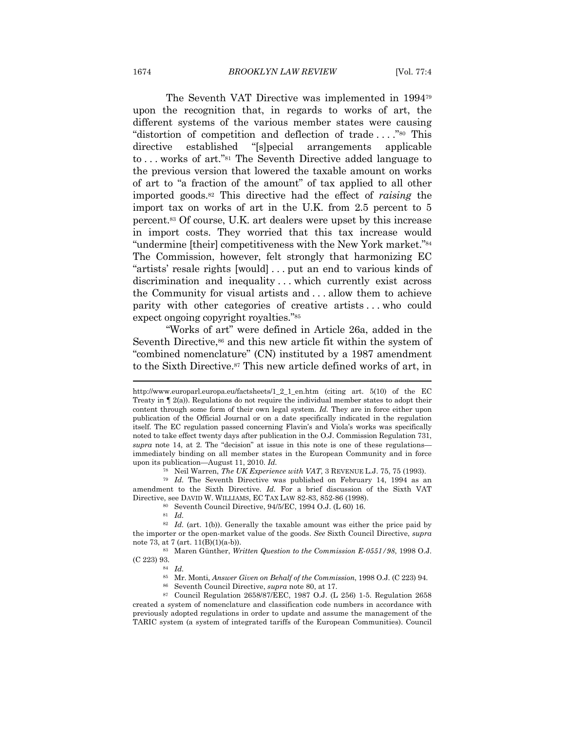The Seventh VAT Directive was implemented in 199479 upon the recognition that, in regards to works of art, the different systems of the various member states were causing "distortion of competition and deflection of trade . . . ."80 This directive established "[s]pecial arrangements applicable to . . . works of art."81 The Seventh Directive added language to the previous version that lowered the taxable amount on works of art to "a fraction of the amount" of tax applied to all other imported goods.82 This directive had the effect of *raising* the import tax on works of art in the U.K. from 2.5 percent to 5 percent.83 Of course, U.K. art dealers were upset by this increase in import costs. They worried that this tax increase would "undermine [their] competitiveness with the New York market."84 The Commission, however, felt strongly that harmonizing EC "artists' resale rights [would] . . . put an end to various kinds of discrimination and inequality . . . which currently exist across the Community for visual artists and . . . allow them to achieve parity with other categories of creative artists . . . who could expect ongoing copyright royalties."85

"Works of art" were defined in Article 26a, added in the Seventh Directive,<sup>86</sup> and this new article fit within the system of "combined nomenclature" (CN) instituted by a 1987 amendment to the Sixth Directive.87 This new article defined works of art, in

78 Neil Warren, *The UK Experience with VAT*, 3 REVENUE L.J. 75, 75 (1993). 79 *Id.* The Seventh Directive was published on February 14, 1994 as an

amendment to the Sixth Directive. *Id.* For a brief discussion of the Sixth VAT

Directive, see DAVID W. WILLIAMS, EC TAX LAW 82-83, 852-86 (1998). 80 Seventh Council Directive, 94/5/EC, 1994 O.J. (L 60) 16. 81 *Id.*

(C 223) 93. 84 *Id.*

http://www.europarl.europa.eu/factsheets/1\_2\_1\_en.htm (citing art. 5(10) of the EC Treaty in ¶ 2(a)). Regulations do not require the individual member states to adopt their content through some form of their own legal system. *Id.* They are in force either upon publication of the Official Journal or on a date specifically indicated in the regulation itself. The EC regulation passed concerning Flavin's and Viola's works was specifically noted to take effect twenty days after publication in the O.J. Commission Regulation 731, *supra* note 14, at 2. The "decision" at issue in this note is one of these regulations immediately binding on all member states in the European Community and in force upon its publication—August 11, 2010. *Id.*

 $82$  *Id.* (art. 1(b)). Generally the taxable amount was either the price paid by the importer or the open-market value of the goods. *See* Sixth Council Directive, *supra*  note 73, at 7 (art. 11(B)(1)(a-b)). 83 Maren Günther, *Written Question to the Commission E-0551/98*, 1998 O.J.

<sup>85</sup> Mr. Monti, *Answer Given on Behalf of the Commission*, 1998 O.J. (C 223) 94. 86 Seventh Council Directive, *supra* note 80, at 17. 87 Council Regulation 2658/87/EEC, 1987 O.J. (L 256) 1-5. Regulation 2658 created a system of nomenclature and classification code numbers in accordance with previously adopted regulations in order to update and assume the management of the TARIC system (a system of integrated tariffs of the European Communities). Council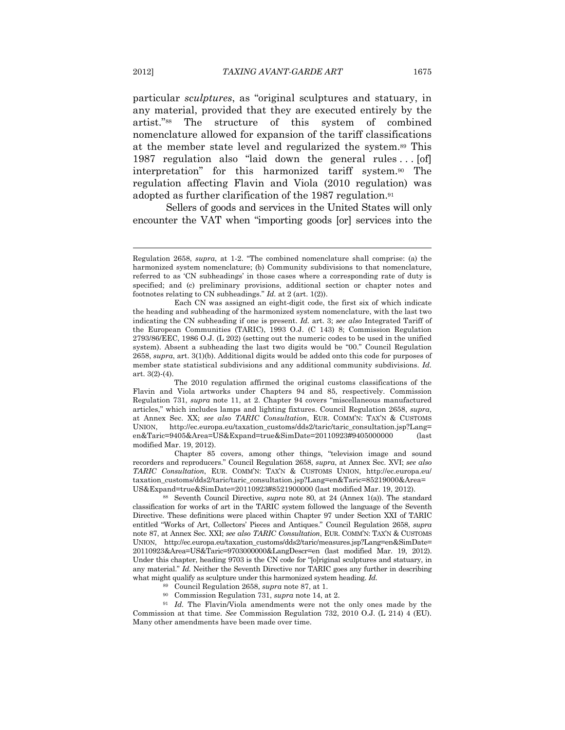particular *sculptures*, as "original sculptures and statuary, in any material, provided that they are executed entirely by the artist."88 The structure of this system of combined nomenclature allowed for expansion of the tariff classifications at the member state level and regularized the system.89 This 1987 regulation also "laid down the general rules . . . [of] interpretation" for this harmonized tariff system.90 The regulation affecting Flavin and Viola (2010 regulation) was adopted as further clarification of the 1987 regulation.<sup>91</sup>

Sellers of goods and services in the United States will only encounter the VAT when "importing goods [or] services into the

Regulation 2658, *supra*, at 1-2. "The combined nomenclature shall comprise: (a) the harmonized system nomenclature; (b) Community subdivisions to that nomenclature, referred to as 'CN subheadings' in those cases where a corresponding rate of duty is specified; and (c) preliminary provisions, additional section or chapter notes and footnotes relating to CN subheadings." *Id.* at 2 (art. 1(2)).

Each CN was assigned an eight-digit code, the first six of which indicate the heading and subheading of the harmonized system nomenclature, with the last two indicating the CN subheading if one is present. *Id.* art. 3; *see also* Integrated Tariff of the European Communities (TARIC), 1993 O.J. (C 143) 8; Commission Regulation 2793/86/EEC, 1986 O.J. (L 202) (setting out the numeric codes to be used in the unified system). Absent a subheading the last two digits would be "00." Council Regulation 2658, *supra*, art. 3(1)(b). Additional digits would be added onto this code for purposes of member state statistical subdivisions and any additional community subdivisions. *Id.*  art. 3(2)-(4).

The 2010 regulation affirmed the original customs classifications of the Flavin and Viola artworks under Chapters 94 and 85, respectively. Commission Regulation 731, *supra* note 11, at 2. Chapter 94 covers "miscellaneous manufactured articles," which includes lamps and lighting fixtures. Council Regulation 2658, *supra*, at Annex Sec. XX; *see also TARIC Consultation*, EUR. COMM'N: TAX'N & CUSTOMS UNION, http://ec.europa.eu/taxation\_customs/dds2/taric/taric\_consultation.jsp?Lang= en&Taric=9405&Area=US&Expand=true&SimDate=20110923#9405000000 (last modified Mar. 19, 2012).

Chapter 85 covers, among other things, "television image and sound recorders and reproducers." Council Regulation 2658, *supra*, at Annex Sec. XVI; *see also TARIC Consultation*, EUR. COMM'N: TAX'N & CUSTOMS UNION, http://ec.europa.eu/ taxation\_customs/dds2/taric/taric\_consultation.jsp?Lang=en&Taric=85219000&Area=

US&Expand=true&SimDate=20110923#8521900000 (last modified Mar. 19, 2012). 88 Seventh Council Directive, *supra* note 80, at 24 (Annex 1(a)). The standard classification for works of art in the TARIC system followed the language of the Seventh Directive. These definitions were placed within Chapter 97 under Section XXI of TARIC entitled "Works of Art, Collectors' Pieces and Antiques." Council Regulation 2658, *supra* note 87, at Annex Sec. XXI; *see also TARIC Consultation*, EUR. COMM'N: TAX'N & CUSTOMS UNION, http://ec.europa.eu/taxation\_customs/dds2/taric/measures.jsp?Lang=en&SimDate= 20110923&Area=US&Taric=9703000000&LangDescr=en (last modified Mar. 19, 2012). Under this chapter, heading 9703 is the CN code for "[o]riginal sculptures and statuary, in any material." *Id.* Neither the Seventh Directive nor TARIC goes any further in describing what might qualify as sculpture under this harmonized system heading. *Id.*

<sup>89</sup> Council Regulation 2658, *supra* note 87, at 1.

<sup>&</sup>lt;sup>91</sup> Id. The Flavin/Viola amendments were not the only ones made by the Commission at that time. *See* Commission Regulation 732, 2010 O.J. (L 214) 4 (EU). Many other amendments have been made over time.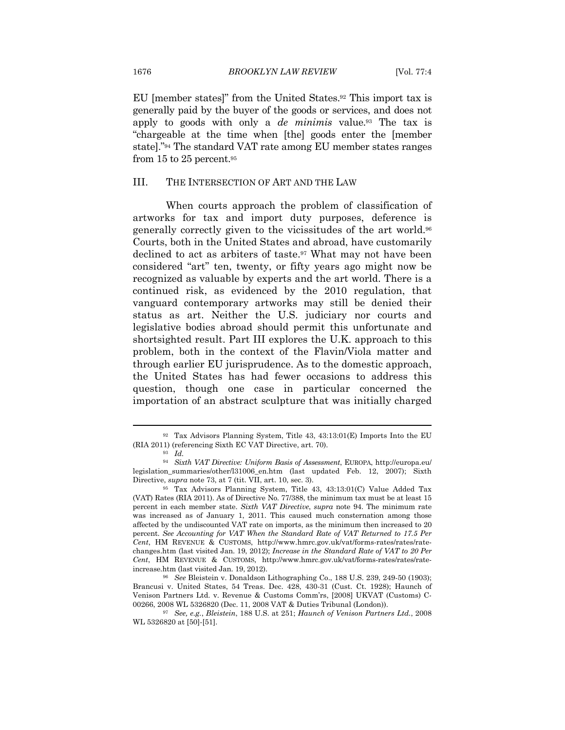EU [member states]" from the United States.92 This import tax is generally paid by the buyer of the goods or services, and does not apply to goods with only a *de minimis* value.93 The tax is "chargeable at the time when [the] goods enter the [member state]."94 The standard VAT rate among EU member states ranges from 15 to 25 percent.<sup>95</sup>

## III. THE INTERSECTION OF ART AND THE LAW

When courts approach the problem of classification of artworks for tax and import duty purposes, deference is generally correctly given to the vicissitudes of the art world.96 Courts, both in the United States and abroad, have customarily declined to act as arbiters of taste.<sup>97</sup> What may not have been considered "art" ten, twenty, or fifty years ago might now be recognized as valuable by experts and the art world. There is a continued risk, as evidenced by the 2010 regulation, that vanguard contemporary artworks may still be denied their status as art. Neither the U.S. judiciary nor courts and legislative bodies abroad should permit this unfortunate and shortsighted result. Part III explores the U.K. approach to this problem, both in the context of the Flavin/Viola matter and through earlier EU jurisprudence. As to the domestic approach, the United States has had fewer occasions to address this question, though one case in particular concerned the importation of an abstract sculpture that was initially charged

increase.htm (last visited Jan. 19, 2012). 96 *See* Bleistein v. Donaldson Lithographing Co., 188 U.S. 239, 249-50 (1903); Brancusi v. United States, 54 Treas. Dec. 428, 430-31 (Cust. Ct. 1928); Haunch of Venison Partners Ltd. v. Revenue & Customs Comm'rs, [2008] UKVAT (Customs) C-00266, 2008 WL 5326820 (Dec. 11, 2008 VAT & Duties Tribunal (London)). 97 *See, e.g.*, *Bleistein*, 188 U.S. at 251; *Haunch of Venison Partners Ltd.*, 2008

<sup>92</sup> Tax Advisors Planning System, Title 43, 43:13:01(E) Imports Into the EU (RIA 2011) (referencing Sixth EC VAT Directive, art. 70). 93 *Id.* 94 *Sixth VAT Directive: Uniform Basis of Assessment*, EUROPA, http://europa.eu/

legislation\_summaries/other/l31006\_en.htm (last updated Feb. 12, 2007); Sixth Directive, *supra* note 73, at 7 (tit. VII, art. 10, sec. 3).<br><sup>95</sup> Tax Advisors Planning System, Title 43, 43:13:01(C) Value Added Tax

<sup>(</sup>VAT) Rates (RIA 2011). As of Directive No. 77/388, the minimum tax must be at least 15 percent in each member state. *Sixth VAT Directive*, *supra* note 94. The minimum rate was increased as of January 1, 2011. This caused much consternation among those affected by the undiscounted VAT rate on imports, as the minimum then increased to 20 percent. *See Accounting for VAT When the Standard Rate of VAT Returned to 17.5 Per Cent*, HM REVENUE & CUSTOMS, http://www.hmrc.gov.uk/vat/forms-rates/rates/ratechanges.htm (last visited Jan. 19, 2012); *Increase in the Standard Rate of VAT to 20 Per Cent*, HM REVENUE & CUSTOMS, http://www.hmrc.gov.uk/vat/forms-rates/rates/rate-

WL 5326820 at [50]-[51].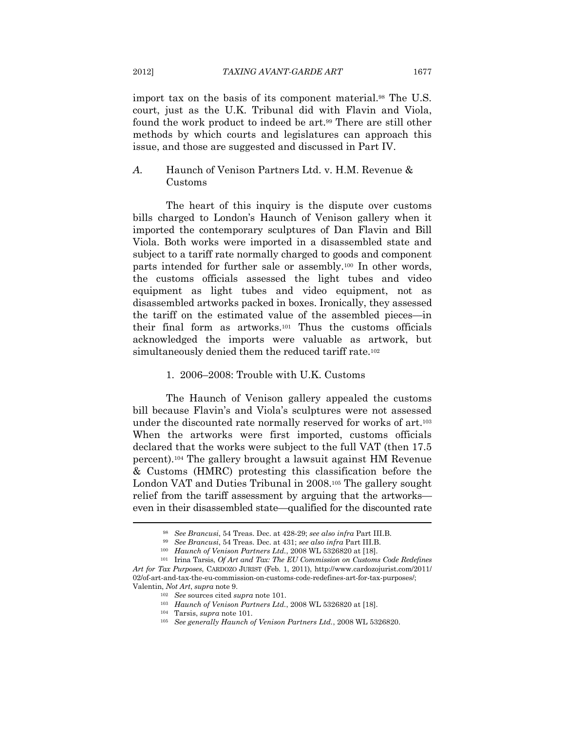import tax on the basis of its component material.<sup>98</sup> The U.S. court, just as the U.K. Tribunal did with Flavin and Viola, found the work product to indeed be art.99 There are still other methods by which courts and legislatures can approach this issue, and those are suggested and discussed in Part IV.

## *A.* Haunch of Venison Partners Ltd. v. H.M. Revenue & Customs

The heart of this inquiry is the dispute over customs bills charged to London's Haunch of Venison gallery when it imported the contemporary sculptures of Dan Flavin and Bill Viola. Both works were imported in a disassembled state and subject to a tariff rate normally charged to goods and component parts intended for further sale or assembly.100 In other words, the customs officials assessed the light tubes and video equipment as light tubes and video equipment, not as disassembled artworks packed in boxes. Ironically, they assessed the tariff on the estimated value of the assembled pieces—in their final form as artworks.101 Thus the customs officials acknowledged the imports were valuable as artwork, but simultaneously denied them the reduced tariff rate.<sup>102</sup>

## 1. 2006–2008: Trouble with U.K. Customs

The Haunch of Venison gallery appealed the customs bill because Flavin's and Viola's sculptures were not assessed under the discounted rate normally reserved for works of art.103 When the artworks were first imported, customs officials declared that the works were subject to the full VAT (then 17.5 percent).104 The gallery brought a lawsuit against HM Revenue & Customs (HMRC) protesting this classification before the London VAT and Duties Tribunal in 2008.105 The gallery sought relief from the tariff assessment by arguing that the artworks even in their disassembled state—qualified for the discounted rate

<sup>&</sup>lt;sup>98</sup> See Brancusi, 54 Treas. Dec. at 428-29; see also infra Part III.B.<br><sup>99</sup> See Brancusi, 54 Treas. Dec. at 431; see also infra Part III.B.<br><sup>100</sup> Haunch of Venison Partners Ltd., 2008 WL 5326820 at [18].<br><sup>101</sup> Irina Tars

*Art for Tax Purposes*, CARDOZO JURIST (Feb. 1, 2011), http://www.cardozojurist.com/2011/ 02/of-art-and-tax-the-eu-commission-on-customs-code-redefines-art-for-tax-purposes/;

Valentin, *Not Art, supra* note 9.<br><sup>102</sup> *See* sources cited *supra* note 101.<br><sup>103</sup> *Haunch of Venison Partners Ltd.*, 2008 WL 5326820 at [18].<br><sup>104</sup> Tarsis, *supra* note 101.<br><sup>105</sup> *See generally Haunch of Venison Partn*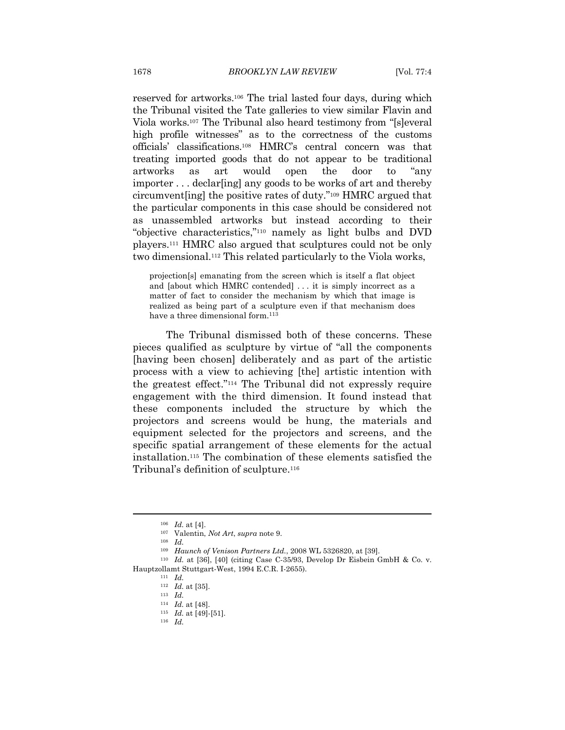reserved for artworks.106 The trial lasted four days, during which the Tribunal visited the Tate galleries to view similar Flavin and Viola works.107 The Tribunal also heard testimony from "[s]everal high profile witnesses" as to the correctness of the customs officials' classifications.108 HMRC's central concern was that treating imported goods that do not appear to be traditional artworks as art would open the door to "any importer . . . declar[ing] any goods to be works of art and thereby circumvent[ing] the positive rates of duty."109 HMRC argued that the particular components in this case should be considered not as unassembled artworks but instead according to their "objective characteristics,"110 namely as light bulbs and DVD players.111 HMRC also argued that sculptures could not be only two dimensional.112 This related particularly to the Viola works,

projection[s] emanating from the screen which is itself a flat object and [about which HMRC contended] . . . it is simply incorrect as a matter of fact to consider the mechanism by which that image is realized as being part of a sculpture even if that mechanism does have a three dimensional form.<sup>113</sup>

The Tribunal dismissed both of these concerns. These pieces qualified as sculpture by virtue of "all the components [having been chosen] deliberately and as part of the artistic process with a view to achieving [the] artistic intention with the greatest effect."114 The Tribunal did not expressly require engagement with the third dimension. It found instead that these components included the structure by which the projectors and screens would be hung, the materials and equipment selected for the projectors and screens, and the specific spatial arrangement of these elements for the actual installation.115 The combination of these elements satisfied the Tribunal's definition of sculpture.116

<sup>106</sup> *Id.* at [4]. 107 Valentin, *Not Art*, *supra* note 9. 108 *Id.*

<sup>109</sup> *Haunch of Venison Partners Ltd.*, 2008 WL 5326820, at [39]. 110 *Id.* at [36], [40] (citing Case C-35/93, Develop Dr Eisbein GmbH & Co. v. Hauptzollamt Stuttgart-West, 1994 E.C.R. I-2655). 111 *Id.*

<sup>112</sup> *Id.* at [35]. 113 *Id.*

<sup>114</sup> *Id.* at [48]. 115 *Id.* at [49]-[51]. 116 *Id.*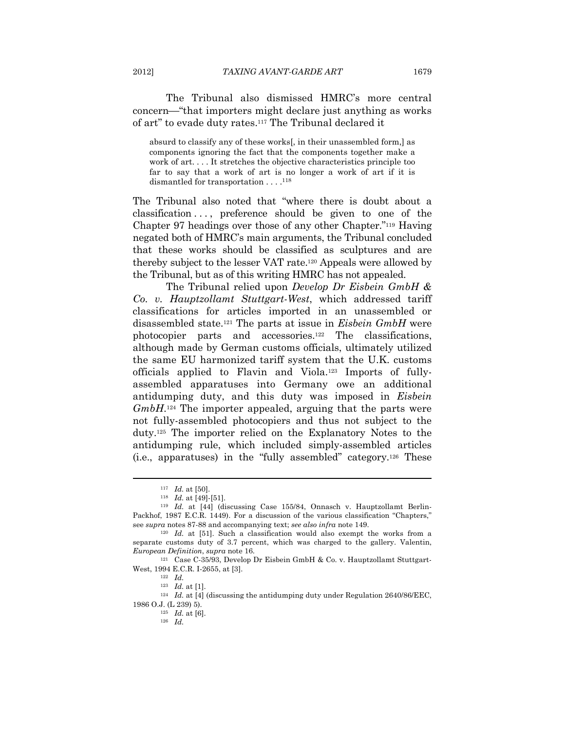The Tribunal also dismissed HMRC's more central concern—"that importers might declare just anything as works of art" to evade duty rates.117 The Tribunal declared it

absurd to classify any of these works[, in their unassembled form,] as components ignoring the fact that the components together make a work of art. . . . It stretches the objective characteristics principle too far to say that a work of art is no longer a work of art if it is dismantled for transportation . . . .118

The Tribunal also noted that "where there is doubt about a classification . . . , preference should be given to one of the Chapter 97 headings over those of any other Chapter."119 Having negated both of HMRC's main arguments, the Tribunal concluded that these works should be classified as sculptures and are thereby subject to the lesser VAT rate.120 Appeals were allowed by the Tribunal, but as of this writing HMRC has not appealed.

The Tribunal relied upon *Develop Dr Eisbein GmbH & Co. v. Hauptzollamt Stuttgart-West*, which addressed tariff classifications for articles imported in an unassembled or disassembled state.121 The parts at issue in *Eisbein GmbH* were photocopier parts and accessories.122 The classifications, although made by German customs officials, ultimately utilized the same EU harmonized tariff system that the U.K. customs officials applied to Flavin and Viola.123 Imports of fullyassembled apparatuses into Germany owe an additional antidumping duty, and this duty was imposed in *Eisbein GmbH*.124 The importer appealed, arguing that the parts were not fully-assembled photocopiers and thus not subject to the duty.125 The importer relied on the Explanatory Notes to the antidumping rule, which included simply-assembled articles (i.e., apparatuses) in the "fully assembled" category.126 These

 $\overline{a}$ 

West, 1994 E.C.R. I-2655, at [3]. 122 *Id.* 

<sup>123</sup> *Id.* at [1].<br><sup>124</sup> *Id.* at [4] (discussing the antidumping duty under Regulation 2640/86/EEC, 1986 O.J. (L 239) 5). 125 *Id.* at [6]. 126 *Id.*

<sup>117</sup> *Id.* at [50]. 118 *Id.* at [49]-[51]. 119 *Id.* at [44] (discussing Case 155/84, Onnasch v. Hauptzollamt Berlin-Packhof, 1987 E.C.R. 1449). For a discussion of the various classification "Chapters," see *supra* notes 87-88 and accompanying text; *see also infra* note 149.<br><sup>120</sup> *Id.* at [51]. Such a classification would also exempt the works from a

separate customs duty of 3.7 percent, which was charged to the gallery. Valentin, *European Definition, supra* note 16.<br><sup>121</sup> Case C-35/93, Develop Dr Eisbein GmbH & Co. v. Hauptzollamt Stuttgart-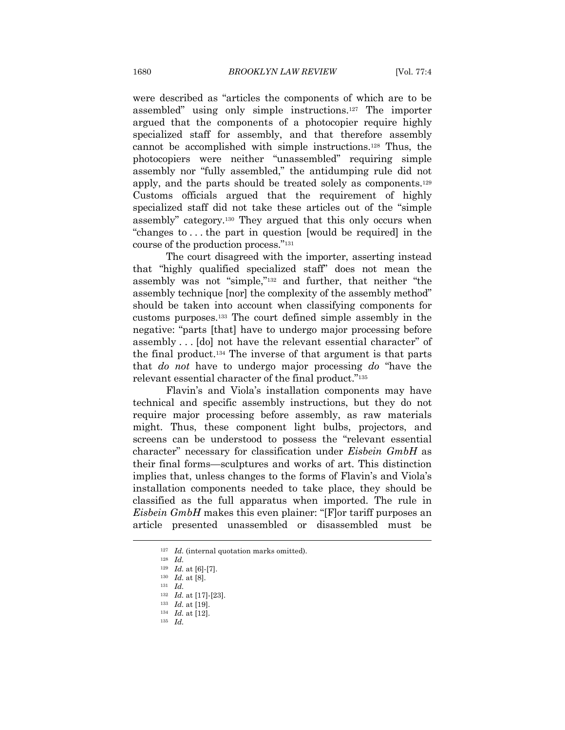were described as "articles the components of which are to be assembled" using only simple instructions.127 The importer argued that the components of a photocopier require highly specialized staff for assembly, and that therefore assembly cannot be accomplished with simple instructions.128 Thus, the photocopiers were neither "unassembled" requiring simple assembly nor "fully assembled," the antidumping rule did not apply, and the parts should be treated solely as components.129 Customs officials argued that the requirement of highly specialized staff did not take these articles out of the "simple assembly" category.130 They argued that this only occurs when "changes to . . . the part in question [would be required] in the course of the production process."131

The court disagreed with the importer, asserting instead that "highly qualified specialized staff" does not mean the assembly was not "simple,"132 and further, that neither "the assembly technique [nor] the complexity of the assembly method" should be taken into account when classifying components for customs purposes.133 The court defined simple assembly in the negative: "parts [that] have to undergo major processing before assembly . . . [do] not have the relevant essential character" of the final product.134 The inverse of that argument is that parts that *do not* have to undergo major processing *do* "have the relevant essential character of the final product."135

Flavin's and Viola's installation components may have technical and specific assembly instructions, but they do not require major processing before assembly, as raw materials might. Thus, these component light bulbs, projectors, and screens can be understood to possess the "relevant essential character" necessary for classification under *Eisbein GmbH* as their final forms—sculptures and works of art. This distinction implies that, unless changes to the forms of Flavin's and Viola's installation components needed to take place, they should be classified as the full apparatus when imported. The rule in *Eisbein GmbH* makes this even plainer: "[F]or tariff purposes an article presented unassembled or disassembled must be  $\overline{a}$ 

<sup>127</sup> *Id.* (internal quotation marks omitted).<br>
128 *Id.* at [6]-[7].<br>
130 *Id.* at [8].<br>
131 *Id.* 

<sup>132</sup> *Id.* at [17]-[23]. 133 *Id.* at [19]. 134 *Id.* at [12]. 135 *Id.*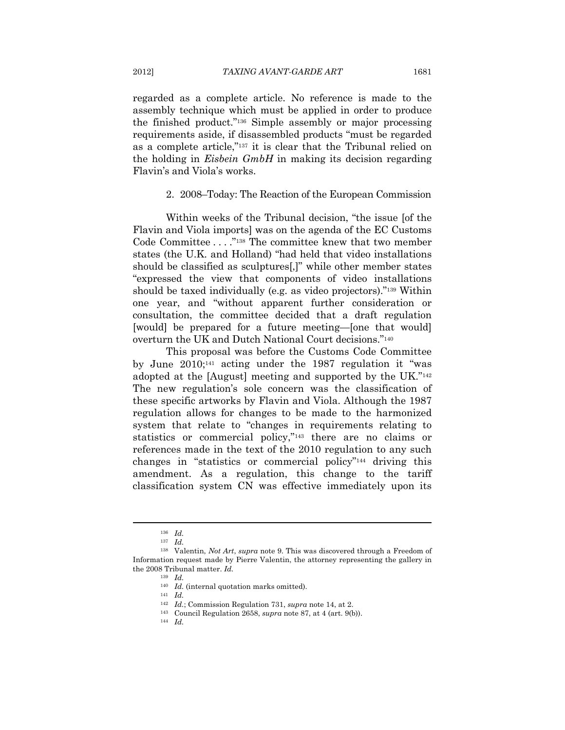regarded as a complete article. No reference is made to the assembly technique which must be applied in order to produce the finished product."136 Simple assembly or major processing requirements aside, if disassembled products "must be regarded as a complete article,"137 it is clear that the Tribunal relied on the holding in *Eisbein GmbH* in making its decision regarding Flavin's and Viola's works.

#### 2. 2008–Today: The Reaction of the European Commission

Within weeks of the Tribunal decision, "the issue [of the Flavin and Viola imports] was on the agenda of the EC Customs Code Committee . . . ."138 The committee knew that two member states (the U.K. and Holland) "had held that video installations should be classified as sculptures[,]" while other member states "expressed the view that components of video installations should be taxed individually (e.g. as video projectors)."139 Within one year, and "without apparent further consideration or consultation, the committee decided that a draft regulation [would] be prepared for a future meeting—[one that would] overturn the UK and Dutch National Court decisions."140

This proposal was before the Customs Code Committee by June 2010;141 acting under the 1987 regulation it "was adopted at the [August] meeting and supported by the UK."142 The new regulation's sole concern was the classification of these specific artworks by Flavin and Viola. Although the 1987 regulation allows for changes to be made to the harmonized system that relate to "changes in requirements relating to statistics or commercial policy,"143 there are no claims or references made in the text of the 2010 regulation to any such changes in "statistics or commercial policy"144 driving this amendment. As a regulation, this change to the tariff classification system CN was effective immediately upon its

<sup>136</sup> *Id.*

<sup>137</sup> *Id.*

<sup>138</sup> Valentin, *Not Art*, *supra* note 9. This was discovered through a Freedom of Information request made by Pierre Valentin, the attorney representing the gallery in the 2008 Tribunal matter. *Id.* 

<sup>139</sup> *Id.*

 $^{140}$   $\,$   $Id.$  (internal quotation marks omitted).  $^{141}$   $\,$   $\,$   $Id.$ 

<sup>142</sup> *Id.*; Commission Regulation 731, *supra* note 14, at 2. 143 Council Regulation 2658, *supra* note 87, at 4 (art. 9(b)). 144 *Id.*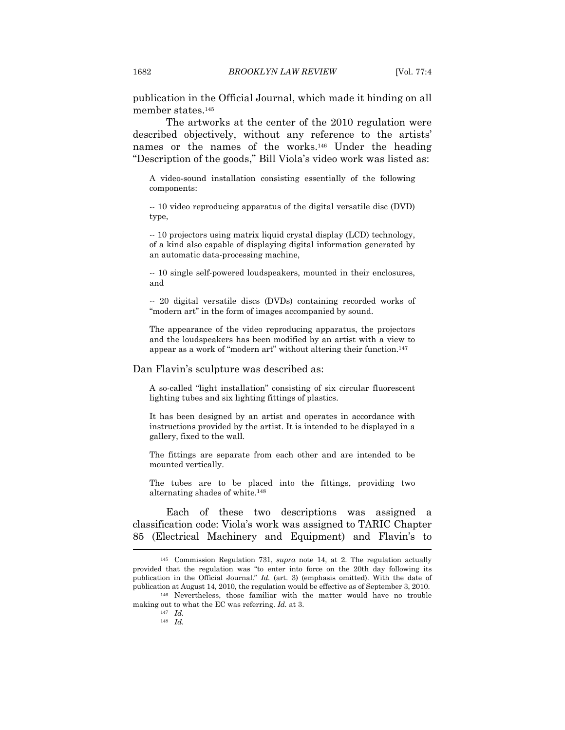publication in the Official Journal, which made it binding on all member states.145

The artworks at the center of the 2010 regulation were described objectively, without any reference to the artists' names or the names of the works.146 Under the heading "Description of the goods," Bill Viola's video work was listed as:

A video-sound installation consisting essentially of the following components:

-- 10 video reproducing apparatus of the digital versatile disc (DVD) type,

-- 10 projectors using matrix liquid crystal display (LCD) technology, of a kind also capable of displaying digital information generated by an automatic data-processing machine,

-- 10 single self-powered loudspeakers, mounted in their enclosures, and

-- 20 digital versatile discs (DVDs) containing recorded works of "modern art" in the form of images accompanied by sound.

The appearance of the video reproducing apparatus, the projectors and the loudspeakers has been modified by an artist with a view to appear as a work of "modern art" without altering their function.147

Dan Flavin's sculpture was described as:

A so-called "light installation" consisting of six circular fluorescent lighting tubes and six lighting fittings of plastics.

It has been designed by an artist and operates in accordance with instructions provided by the artist. It is intended to be displayed in a gallery, fixed to the wall.

The fittings are separate from each other and are intended to be mounted vertically.

The tubes are to be placed into the fittings, providing two alternating shades of white.148

Each of these two descriptions was assigned a classification code: Viola's work was assigned to TARIC Chapter 85 (Electrical Machinery and Equipment) and Flavin's to  $\overline{a}$ 

making out to what the EC was referring. *Id.* at 3.  $\frac{147 \quad Id.}{142 \quad H}$ 

<sup>145</sup> Commission Regulation 731, *supra* note 14, at 2. The regulation actually provided that the regulation was "to enter into force on the 20th day following its publication in the Official Journal." *Id.* (art. 3) (emphasis omitted). With the date of publication at August 14, 2010, the regulation would be effective as of September 3, 2010. 146 Nevertheless, those familiar with the matter would have no trouble

<sup>148</sup> *Id.*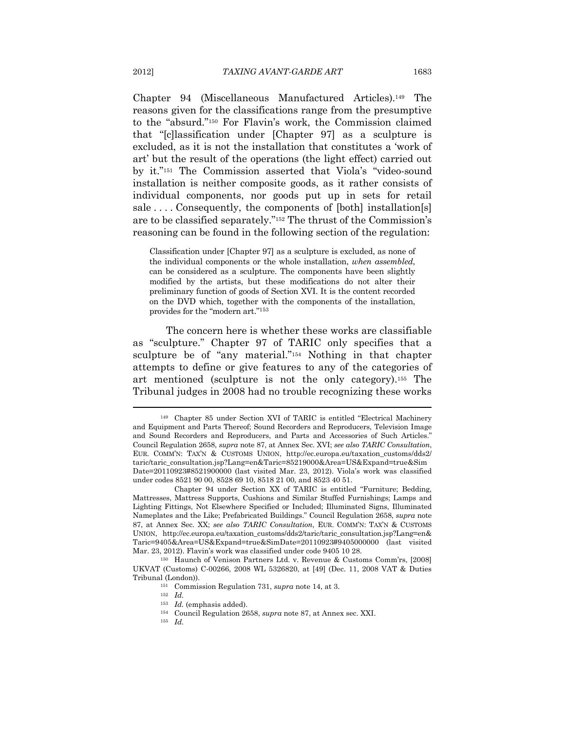Chapter 94 (Miscellaneous Manufactured Articles).149 The reasons given for the classifications range from the presumptive to the "absurd."150 For Flavin's work, the Commission claimed that "[c]lassification under [Chapter 97] as a sculpture is excluded, as it is not the installation that constitutes a 'work of art' but the result of the operations (the light effect) carried out by it."151 The Commission asserted that Viola's "video-sound installation is neither composite goods, as it rather consists of individual components, nor goods put up in sets for retail sale .... Consequently, the components of [both] installation[s] are to be classified separately."152 The thrust of the Commission's reasoning can be found in the following section of the regulation:

Classification under [Chapter 97] as a sculpture is excluded, as none of the individual components or the whole installation, *when assembled*, can be considered as a sculpture. The components have been slightly modified by the artists, but these modifications do not alter their preliminary function of goods of Section XVI. It is the content recorded on the DVD which, together with the components of the installation, provides for the "modern art."153

The concern here is whether these works are classifiable as "sculpture." Chapter 97 of TARIC only specifies that a sculpture be of "any material."154 Nothing in that chapter attempts to define or give features to any of the categories of art mentioned (sculpture is not the only category).155 The Tribunal judges in 2008 had no trouble recognizing these works

<sup>149</sup> Chapter 85 under Section XVI of TARIC is entitled "Electrical Machinery and Equipment and Parts Thereof; Sound Recorders and Reproducers, Television Image and Sound Recorders and Reproducers, and Parts and Accessories of Such Articles." Council Regulation 2658, *supra* note 87, at Annex Sec. XVI; *see also TARIC Consultation*, EUR. COMM'N: TAX'N & CUSTOMS UNION, http://ec.europa.eu/taxation\_customs/dds2/ taric/taric\_consultation.jsp?Lang=en&Taric=85219000&Area=US&Expand=true&Sim Date=20110923#8521900000 (last visited Mar. 23, 2012). Viola's work was classified under codes 8521 90 00, 8528 69 10, 8518 21 00, and 8523 40 51.

Chapter 94 under Section XX of TARIC is entitled "Furniture; Bedding, Mattresses, Mattress Supports, Cushions and Similar Stuffed Furnishings; Lamps and Lighting Fittings, Not Elsewhere Specified or Included; Illuminated Signs, Illuminated Nameplates and the Like; Prefabricated Buildings." Council Regulation 2658, *supra* note 87, at Annex Sec. XX; *see also TARIC Consultation*, EUR. COMM'N: TAX'N & CUSTOMS UNION, http://ec.europa.eu/taxation\_customs/dds2/taric/taric\_consultation.jsp?Lang=en& Taric=9405&Area=US&Expand=true&SimDate=20110923#9405000000 (last visited Mar. 23, 2012). Flavin's work was classified under code 9405 10 28. 150 Haunch of Venison Partners Ltd. v. Revenue & Customs Comm'rs, [2008]

UKVAT (Customs) C-00266, 2008 WL 5326820, at [49] (Dec. 11, 2008 VAT & Duties Tribunal (London)). 151 Commission Regulation 731, *supra* note 14, at 3. 152 *Id.* 

<sup>153</sup> *Id.* (emphasis added). 154 Council Regulation 2658, *supra* note 87, at Annex sec. XXI. 155 *Id.*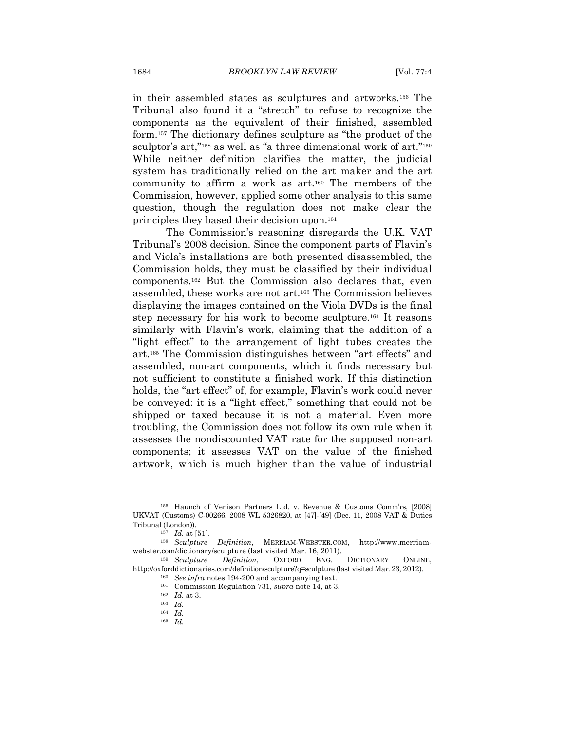in their assembled states as sculptures and artworks.156 The Tribunal also found it a "stretch" to refuse to recognize the components as the equivalent of their finished, assembled form.157 The dictionary defines sculpture as "the product of the sculptor's art,"<sup>158</sup> as well as "a three dimensional work of art."<sup>159</sup> While neither definition clarifies the matter, the judicial system has traditionally relied on the art maker and the art community to affirm a work as art.160 The members of the Commission, however, applied some other analysis to this same question, though the regulation does not make clear the principles they based their decision upon.161

The Commission's reasoning disregards the U.K. VAT Tribunal's 2008 decision. Since the component parts of Flavin's and Viola's installations are both presented disassembled, the Commission holds, they must be classified by their individual components.162 But the Commission also declares that, even assembled, these works are not art.163 The Commission believes displaying the images contained on the Viola DVDs is the final step necessary for his work to become sculpture.164 It reasons similarly with Flavin's work, claiming that the addition of a "light effect" to the arrangement of light tubes creates the art.165 The Commission distinguishes between "art effects" and assembled, non-art components, which it finds necessary but not sufficient to constitute a finished work. If this distinction holds, the "art effect" of, for example, Flavin's work could never be conveyed: it is a "light effect," something that could not be shipped or taxed because it is not a material. Even more troubling, the Commission does not follow its own rule when it assesses the nondiscounted VAT rate for the supposed non-art components; it assesses VAT on the value of the finished artwork, which is much higher than the value of industrial

<sup>156</sup> Haunch of Venison Partners Ltd. v. Revenue & Customs Comm'rs, [2008] UKVAT (Customs) C-00266, 2008 WL 5326820, at [47]-[49] (Dec. 11, 2008 VAT & Duties

Tribunal (London)). 157 *Id.* at [51]. 158 *Sculpture Definition*, MERRIAM-WEBSTER.COM, http://www.merriamwebster.com/dictionary/sculpture (last visited Mar. 16, 2011).<br><sup>159</sup> Sculpture Definition. OXFORD ENG. DICTIONARY ONLINE.

http://oxforddictionaries.com/definition/sculpture?q=sculpture (last visited Mar. 23, 2012).<br>
<sup>160</sup> See infra notes 194-200 and accompanying text.<br>
<sup>161</sup> Commission Regulation 731, *supra* note 14, at 3.<br>
<sup>162</sup> Id. at 3.<br>

<sup>164</sup> *Id.*

<sup>165</sup> *Id.*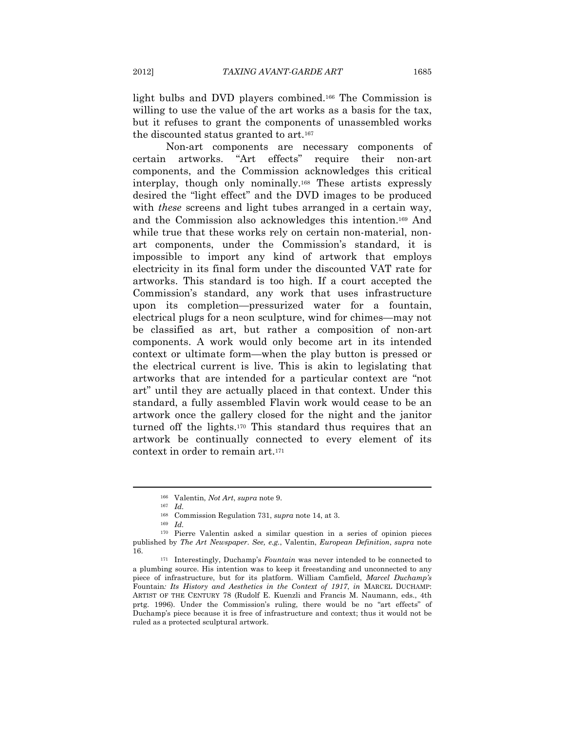light bulbs and DVD players combined.166 The Commission is willing to use the value of the art works as a basis for the tax, but it refuses to grant the components of unassembled works the discounted status granted to art.167

Non-art components are necessary components of certain artworks. "Art effects" require their non-art components, and the Commission acknowledges this critical interplay, though only nominally.168 These artists expressly desired the "light effect" and the DVD images to be produced with *these* screens and light tubes arranged in a certain way, and the Commission also acknowledges this intention.169 And while true that these works rely on certain non-material, nonart components, under the Commission's standard, it is impossible to import any kind of artwork that employs electricity in its final form under the discounted VAT rate for artworks. This standard is too high. If a court accepted the Commission's standard, any work that uses infrastructure upon its completion—pressurized water for a fountain, electrical plugs for a neon sculpture, wind for chimes—may not be classified as art, but rather a composition of non-art components. A work would only become art in its intended context or ultimate form—when the play button is pressed or the electrical current is live. This is akin to legislating that artworks that are intended for a particular context are "not art" until they are actually placed in that context. Under this standard, a fully assembled Flavin work would cease to be an artwork once the gallery closed for the night and the janitor turned off the lights.170 This standard thus requires that an artwork be continually connected to every element of its context in order to remain art.171

<sup>166</sup> Valentin, *Not Art*, *supra* note 9. 167 *Id.*

<sup>168</sup> Commission Regulation 731, *supra* note 14, at 3. 169 *Id.*

<sup>170</sup> Pierre Valentin asked a similar question in a series of opinion pieces published by *The Art Newspaper*. *See, e.g.*, Valentin, *European Definition*, *supra* note 16. 171 Interestingly, Duchamp's *Fountain* was never intended to be connected to

a plumbing source. His intention was to keep it freestanding and unconnected to any piece of infrastructure, but for its platform. William Camfield, *Marcel Duchamp's*  Fountain*: Its History and Aesthetics in the Context of 1917*, *in* MARCEL DUCHAMP: ARTIST OF THE CENTURY 78 (Rudolf E. Kuenzli and Francis M. Naumann, eds., 4th prtg. 1996). Under the Commission's ruling, there would be no "art effects" of Duchamp's piece because it is free of infrastructure and context; thus it would not be ruled as a protected sculptural artwork.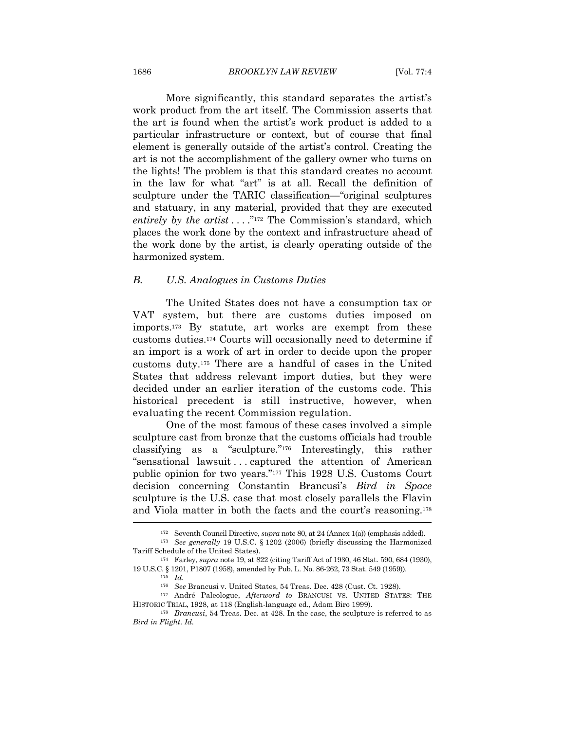More significantly, this standard separates the artist's work product from the art itself. The Commission asserts that the art is found when the artist's work product is added to a particular infrastructure or context, but of course that final element is generally outside of the artist's control. Creating the art is not the accomplishment of the gallery owner who turns on the lights! The problem is that this standard creates no account in the law for what "art" is at all. Recall the definition of sculpture under the TARIC classification—"original sculptures and statuary, in any material, provided that they are executed *entirely by the artist* . . . . . .<sup>"172</sup> The Commission's standard, which places the work done by the context and infrastructure ahead of the work done by the artist, is clearly operating outside of the harmonized system.

#### *B. U.S. Analogues in Customs Duties*

The United States does not have a consumption tax or VAT system, but there are customs duties imposed on imports.173 By statute, art works are exempt from these customs duties.174 Courts will occasionally need to determine if an import is a work of art in order to decide upon the proper customs duty.175 There are a handful of cases in the United States that address relevant import duties, but they were decided under an earlier iteration of the customs code. This historical precedent is still instructive, however, when evaluating the recent Commission regulation.

One of the most famous of these cases involved a simple sculpture cast from bronze that the customs officials had trouble classifying as a "sculpture."176 Interestingly, this rather "sensational lawsuit . . . captured the attention of American public opinion for two years."177 This 1928 U.S. Customs Court decision concerning Constantin Brancusi's *Bird in Space* sculpture is the U.S. case that most closely parallels the Flavin and Viola matter in both the facts and the court's reasoning.178  $\overline{a}$ 

<sup>172</sup> Seventh Council Directive, *supra* note 80, at 24 (Annex 1(a)) (emphasis added). 173 *See generally* 19 U.S.C. § 1202 (2006) (briefly discussing the Harmonized Tariff Schedule of the United States). 174 Farley, *supra* note 19, at 822 (citing Tariff Act of 1930, 46 Stat. 590, 684 (1930),

<sup>19</sup> U.S.C. § 1201, P1807 (1958), amended by Pub. L. No. 86-262, 73 Stat. 549 (1959)). 175 *Id.*

<sup>&</sup>lt;sup>176</sup> See Brancusi v. United States, 54 Treas. Dec. 428 (Cust. Ct. 1928).<br><sup>177</sup> André Paleologue, *Afterword to* BRANCUSI VS. UNITED STATES: THE<br>HISTORIC TRIAL, 1928, at 118 (English-language ed., Adam Biro 1999).

<sup>&</sup>lt;sup>178</sup> *Brancusi*, 54 Treas. Dec. at 428. In the case, the sculpture is referred to as *Bird in Flight*. *Id.*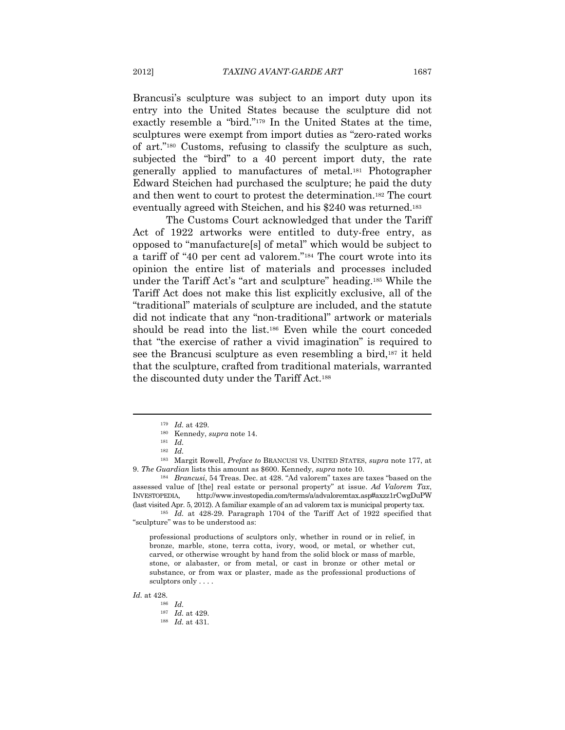Brancusi's sculpture was subject to an import duty upon its entry into the United States because the sculpture did not exactly resemble a "bird."179 In the United States at the time, sculptures were exempt from import duties as "zero-rated works of art."180 Customs, refusing to classify the sculpture as such, subjected the "bird" to a 40 percent import duty, the rate generally applied to manufactures of metal.181 Photographer Edward Steichen had purchased the sculpture; he paid the duty and then went to court to protest the determination.182 The court eventually agreed with Steichen, and his \$240 was returned.<sup>183</sup>

The Customs Court acknowledged that under the Tariff Act of 1922 artworks were entitled to duty-free entry, as opposed to "manufacture[s] of metal" which would be subject to a tariff of "40 per cent ad valorem."184 The court wrote into its opinion the entire list of materials and processes included under the Tariff Act's "art and sculpture" heading.185 While the Tariff Act does not make this list explicitly exclusive, all of the "traditional" materials of sculpture are included, and the statute did not indicate that any "non-traditional" artwork or materials should be read into the list.186 Even while the court conceded that "the exercise of rather a vivid imagination" is required to see the Brancusi sculpture as even resembling a bird,187 it held that the sculpture, crafted from traditional materials, warranted the discounted duty under the Tariff Act.188

assessed value of [the] real estate or personal property" at issue. *Ad Valorem Tax*, INVESTOPEDIA, http://www.investopedia.com/terms/a/advaloremtax.asp#axzz1rCwgDuPW

(last visited Apr. 5, 2012). A familiar example of an ad valorem tax is municipal property tax. 185 *Id.* at 428-29. Paragraph 1704 of the Tariff Act of 1922 specified that "sculpture" was to be understood as:

professional productions of sculptors only, whether in round or in relief, in bronze, marble, stone, terra cotta, ivory, wood, or metal, or whether cut, carved, or otherwise wrought by hand from the solid block or mass of marble, stone, or alabaster, or from metal, or cast in bronze or other metal or substance, or from wax or plaster, made as the professional productions of sculptors only . . . .

<sup>179</sup> *Id.* at 429. 180 Kennedy, *supra* note 14. 181 *Id.*

<sup>182</sup> *Id.*

<sup>183</sup> Margit Rowell, *Preface to* BRANCUSI VS. UNITED STATES, *supra* note 177, at 9. *The Guardian* lists this amount as \$600. Kennedy, *supra* note 10. 184 *Brancusi*, 54 Treas. Dec. at 428. "Ad valorem" taxes are taxes "based on the

<sup>187</sup> *Id.* at 429. 188 *Id.* at 431.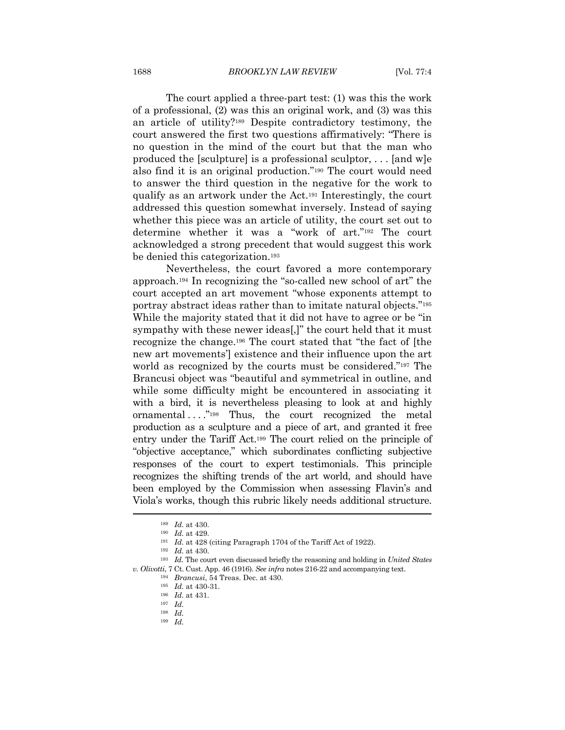The court applied a three-part test: (1) was this the work of a professional, (2) was this an original work, and (3) was this an article of utility?189 Despite contradictory testimony, the court answered the first two questions affirmatively: "There is no question in the mind of the court but that the man who produced the [sculpture] is a professional sculptor, . . . [and w]e also find it is an original production."190 The court would need to answer the third question in the negative for the work to qualify as an artwork under the Act.191 Interestingly, the court addressed this question somewhat inversely. Instead of saying whether this piece was an article of utility, the court set out to determine whether it was a "work of art."192 The court acknowledged a strong precedent that would suggest this work be denied this categorization.193

Nevertheless, the court favored a more contemporary approach.194 In recognizing the "so-called new school of art" the court accepted an art movement "whose exponents attempt to portray abstract ideas rather than to imitate natural objects."195 While the majority stated that it did not have to agree or be "in sympathy with these newer ideas[,]" the court held that it must recognize the change.196 The court stated that "the fact of [the new art movements'] existence and their influence upon the art world as recognized by the courts must be considered."197 The Brancusi object was "beautiful and symmetrical in outline, and while some difficulty might be encountered in associating it with a bird, it is nevertheless pleasing to look at and highly ornamental . . . ."198 Thus, the court recognized the metal production as a sculpture and a piece of art, and granted it free entry under the Tariff Act.199 The court relied on the principle of "objective acceptance," which subordinates conflicting subjective responses of the court to expert testimonials. This principle recognizes the shifting trends of the art world, and should have been employed by the Commission when assessing Flavin's and Viola's works, though this rubric likely needs additional structure.

199 *Id.* 

<sup>&</sup>lt;sup>189</sup> *Id.* at 430.<br><sup>190</sup> *Id.* at 429.<br><sup>191</sup> *Id.* at 428 (citing Paragraph 1704 of the Tariff Act of 1922).<br><sup>192</sup> *Id.* at 430.<br><sup>193</sup> *Id.* The court even discussed briefly the reasoning and holding in *United States* 

*v. Olivotti*, 7 Ct. Cust. App. 46 (1916). *See infra* notes 216-22 and accompanying text. 194 *Brancusi*, 54 Treas. Dec. at 430. 195 *Id.* at 430-31. 196 *Id.* at 431. 197 *Id.*

<sup>198</sup> *Id.*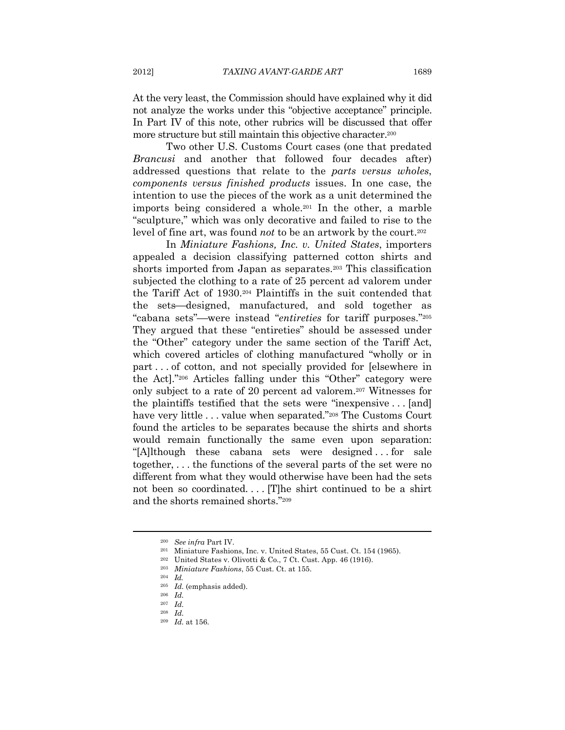At the very least, the Commission should have explained why it did not analyze the works under this "objective acceptance" principle. In Part IV of this note, other rubrics will be discussed that offer more structure but still maintain this objective character.<sup>200</sup>

Two other U.S. Customs Court cases (one that predated *Brancusi* and another that followed four decades after) addressed questions that relate to the *parts versus wholes*, *components versus finished products* issues. In one case, the intention to use the pieces of the work as a unit determined the imports being considered a whole.201 In the other, a marble "sculpture," which was only decorative and failed to rise to the level of fine art, was found *not* to be an artwork by the court.<sup>202</sup>

In *Miniature Fashions, Inc. v. United States*, importers appealed a decision classifying patterned cotton shirts and shorts imported from Japan as separates.203 This classification subjected the clothing to a rate of 25 percent ad valorem under the Tariff Act of 1930.204 Plaintiffs in the suit contended that the sets—designed, manufactured, and sold together as "cabana sets"—were instead "*entireties* for tariff purposes."<sup>205</sup> They argued that these "entireties" should be assessed under the "Other" category under the same section of the Tariff Act, which covered articles of clothing manufactured "wholly or in part . . . of cotton, and not specially provided for [elsewhere in the Act]."206 Articles falling under this "Other" category were only subject to a rate of 20 percent ad valorem.207 Witnesses for the plaintiffs testified that the sets were "inexpensive . . . [and] have very little . . . value when separated."<sup>208</sup> The Customs Court found the articles to be separates because the shirts and shorts would remain functionally the same even upon separation: "[A]lthough these cabana sets were designed . . . for sale together, . . . the functions of the several parts of the set were no different from what they would otherwise have been had the sets not been so coordinated. . . . [T]he shirt continued to be a shirt and the shorts remained shorts."209

<sup>&</sup>lt;sup>200</sup> See infra Part IV.<br>
<sup>201</sup> Miniature Fashions, Inc. v. United States, 55 Cust. Ct. 154 (1965).<br>
<sup>202</sup> United States v. Olivotti & Co., 7 Ct. Cust. App. 46 (1916).<br>
<sup>203</sup> *Miniature Fashions*, 55 Cust. Ct. at 155.<br>
<sup>2</sup>

<sup>207</sup> *Id.*

<sup>208</sup> *Id.*

<sup>209</sup> *Id.* at 156.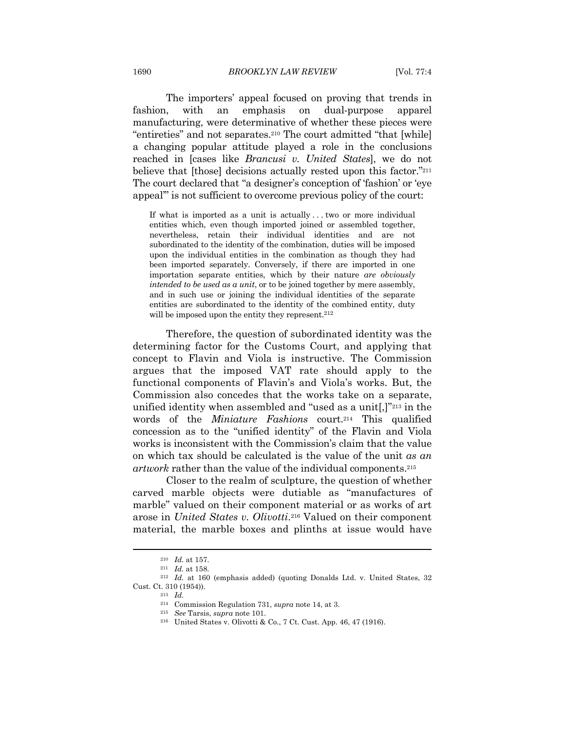The importers' appeal focused on proving that trends in fashion, with an emphasis on dual-purpose apparel manufacturing, were determinative of whether these pieces were "entireties" and not separates.210 The court admitted "that [while] a changing popular attitude played a role in the conclusions reached in [cases like *Brancusi v. United States*], we do not believe that [those] decisions actually rested upon this factor."<sup>211</sup> The court declared that "a designer's conception of 'fashion' or 'eye appeal'" is not sufficient to overcome previous policy of the court:

If what is imported as a unit is actually . . . two or more individual entities which, even though imported joined or assembled together, nevertheless, retain their individual identities and are not subordinated to the identity of the combination, duties will be imposed upon the individual entities in the combination as though they had been imported separately. Conversely, if there are imported in one importation separate entities, which by their nature *are obviously intended to be used as a unit*, or to be joined together by mere assembly, and in such use or joining the individual identities of the separate entities are subordinated to the identity of the combined entity, duty will be imposed upon the entity they represent.<sup>212</sup>

Therefore, the question of subordinated identity was the determining factor for the Customs Court, and applying that concept to Flavin and Viola is instructive. The Commission argues that the imposed VAT rate should apply to the functional components of Flavin's and Viola's works. But, the Commission also concedes that the works take on a separate, unified identity when assembled and "used as a unit[,]"213 in the words of the *Miniature Fashions* court.214 This qualified concession as to the "unified identity" of the Flavin and Viola works is inconsistent with the Commission's claim that the value on which tax should be calculated is the value of the unit *as an artwork* rather than the value of the individual components.215

Closer to the realm of sculpture, the question of whether carved marble objects were dutiable as "manufactures of marble" valued on their component material or as works of art arose in *United States v. Olivotti*.216 Valued on their component material, the marble boxes and plinths at issue would have

<sup>210</sup> *Id.* at 157. 211 *Id.* at 158. 212 *Id.* at 160 (emphasis added) (quoting Donalds Ltd. v. United States, <sup>32</sup> Cust. Ct. 310 (1954)). 213 *Id.*

<sup>214</sup> Commission Regulation 731, *supra* note 14, at 3. 215 *See* Tarsis, *supra* note 101. 216 United States v. Olivotti & Co., 7 Ct. Cust. App. 46, 47 (1916).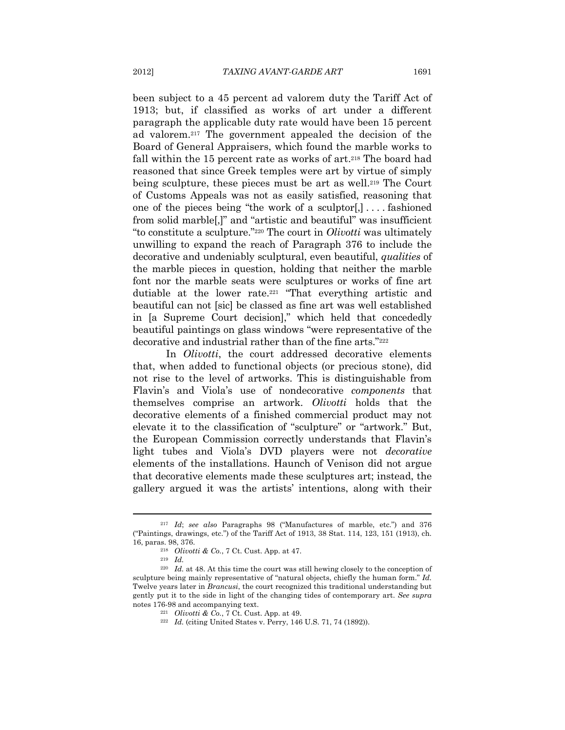been subject to a 45 percent ad valorem duty the Tariff Act of 1913; but, if classified as works of art under a different paragraph the applicable duty rate would have been 15 percent ad valorem.217 The government appealed the decision of the Board of General Appraisers, which found the marble works to fall within the 15 percent rate as works of art.<sup>218</sup> The board had reasoned that since Greek temples were art by virtue of simply being sculpture, these pieces must be art as well.<sup>219</sup> The Court of Customs Appeals was not as easily satisfied, reasoning that one of the pieces being "the work of a sculptor[,] . . . . fashioned from solid marble[,]" and "artistic and beautiful" was insufficient "to constitute a sculpture."220 The court in *Olivotti* was ultimately unwilling to expand the reach of Paragraph 376 to include the decorative and undeniably sculptural, even beautiful, *qualities* of the marble pieces in question, holding that neither the marble font nor the marble seats were sculptures or works of fine art dutiable at the lower rate.221 "That everything artistic and beautiful can not [sic] be classed as fine art was well established in [a Supreme Court decision]," which held that concededly beautiful paintings on glass windows "were representative of the decorative and industrial rather than of the fine arts."222

In *Olivotti*, the court addressed decorative elements that, when added to functional objects (or precious stone), did not rise to the level of artworks. This is distinguishable from Flavin's and Viola's use of nondecorative *components* that themselves comprise an artwork. *Olivotti* holds that the decorative elements of a finished commercial product may not elevate it to the classification of "sculpture" or "artwork." But, the European Commission correctly understands that Flavin's light tubes and Viola's DVD players were not *decorative* elements of the installations. Haunch of Venison did not argue that decorative elements made these sculptures art; instead, the gallery argued it was the artists' intentions, along with their

<sup>217</sup> *Id*; *see also* Paragraphs 98 ("Manufactures of marble, etc.") and 376 ("Paintings, drawings, etc.") of the Tariff Act of 1913, 38 Stat. 114, 123, 151 (1913), ch. 16, paras. 98, 376. 218 *Olivotti & Co.*, 7 Ct. Cust. App. at 47. 219 *Id.*

<sup>220</sup> *Id.* at 48. At this time the court was still hewing closely to the conception of sculpture being mainly representative of "natural objects, chiefly the human form." *Id.* Twelve years later in *Brancusi*, the court recognized this traditional understanding but gently put it to the side in light of the changing tides of contemporary art. *See supra*  notes 176-98 and accompanying text.<br><sup>221</sup> *Olivotti & Co.*, 7 Ct. Cust. App. at 49.<br><sup>222</sup> *Id.* (citing United States v. Perry, 146 U.S. 71, 74 (1892)).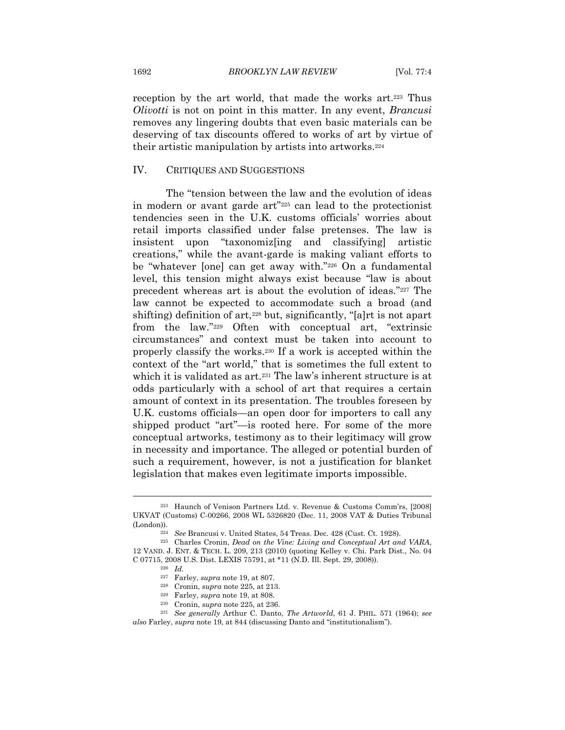reception by the art world, that made the works art.<sup>223</sup> Thus *Olivotti* is not on point in this matter. In any event, *Brancusi* removes any lingering doubts that even basic materials can be deserving of tax discounts offered to works of art by virtue of their artistic manipulation by artists into artworks.224

## IV. CRITIQUES AND SUGGESTIONS

The "tension between the law and the evolution of ideas in modern or avant garde art"225 can lead to the protectionist tendencies seen in the U.K. customs officials' worries about retail imports classified under false pretenses. The law is insistent upon "taxonomiz[ing and classifying] artistic creations," while the avant-garde is making valiant efforts to be "whatever [one] can get away with."226 On a fundamental level, this tension might always exist because "law is about precedent whereas art is about the evolution of ideas."227 The law cannot be expected to accommodate such a broad (and shifting) definition of art,<sup>228</sup> but, significantly, "[a]rt is not apart from the law."229 Often with conceptual art, "extrinsic circumstances" and context must be taken into account to properly classify the works.230 If a work is accepted within the context of the "art world," that is sometimes the full extent to which it is validated as art.<sup>231</sup> The law's inherent structure is at odds particularly with a school of art that requires a certain amount of context in its presentation. The troubles foreseen by U.K. customs officials—an open door for importers to call any shipped product "art"—is rooted here. For some of the more conceptual artworks, testimony as to their legitimacy will grow in necessity and importance. The alleged or potential burden of such a requirement, however, is not a justification for blanket legislation that makes even legitimate imports impossible.

<sup>223</sup> Haunch of Venison Partners Ltd. v. Revenue & Customs Comm'rs, [2008] UKVAT (Customs) C-00266, 2008 WL 5326820 (Dec. 11, 2008 VAT & Duties Tribunal (London)). 224 *See* Brancusi v. United States, 54 Treas. Dec. 428 (Cust. Ct. 1928). 225 Charles Cronin, *Dead on the Vine: Living and Conceptual Art and VARA*,

<sup>12</sup> VAND. J. ENT. & TECH. L. 209, 213 (2010) (quoting Kelley v. Chi. Park Dist., No. 04

C 07715, 2008 U.S. Dist. LEXIS 75791, at \*11 (N.D. Ill. Sept. 29, 2008)).<br><sup>226</sup> *Id.* <sup>227</sup> Farley, *supra* note 19, at 807.

<sup>&</sup>lt;sup>228</sup> Cronin, *supra* note 225, at 213.<br><sup>229</sup> Farley, *supra* note 19, at 808.<br><sup>230</sup> Cronin, *supra* note 225, at 236.<br><sup>231</sup> See generally Arthur C. Danto, *The Artworld*, 61 J. PHIL. 571 (1964); *see also* Farley, *supra* note 19, at 844 (discussing Danto and "institutionalism").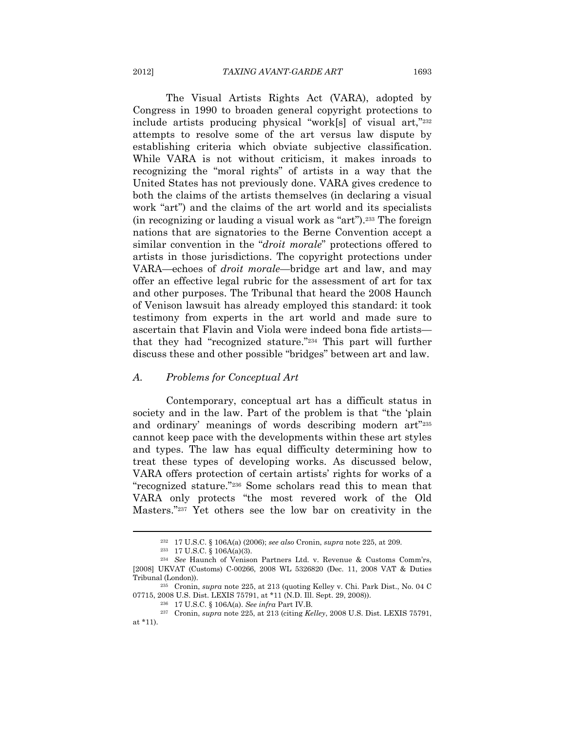The Visual Artists Rights Act (VARA), adopted by Congress in 1990 to broaden general copyright protections to include artists producing physical "work[s] of visual art,"232 attempts to resolve some of the art versus law dispute by establishing criteria which obviate subjective classification. While VARA is not without criticism, it makes inroads to recognizing the "moral rights" of artists in a way that the United States has not previously done. VARA gives credence to both the claims of the artists themselves (in declaring a visual work "art") and the claims of the art world and its specialists (in recognizing or lauding a visual work as "art").233 The foreign nations that are signatories to the Berne Convention accept a similar convention in the "*droit morale*" protections offered to artists in those jurisdictions. The copyright protections under VARA—echoes of *droit morale*—bridge art and law, and may offer an effective legal rubric for the assessment of art for tax and other purposes. The Tribunal that heard the 2008 Haunch of Venison lawsuit has already employed this standard: it took testimony from experts in the art world and made sure to ascertain that Flavin and Viola were indeed bona fide artists that they had "recognized stature."234 This part will further discuss these and other possible "bridges" between art and law.

## *A. Problems for Conceptual Art*

Contemporary, conceptual art has a difficult status in society and in the law. Part of the problem is that "the 'plain and ordinary' meanings of words describing modern art"235 cannot keep pace with the developments within these art styles and types. The law has equal difficulty determining how to treat these types of developing works. As discussed below, VARA offers protection of certain artists' rights for works of a "recognized stature."236 Some scholars read this to mean that VARA only protects "the most revered work of the Old Masters."237 Yet others see the low bar on creativity in the

<sup>232 17</sup> U.S.C. § 106A(a) (2006); *see also* Cronin, *supra* note 225, at 209. 233 17 U.S.C. § 106A(a)(3). 234 *See* Haunch of Venison Partners Ltd. v. Revenue & Customs Comm'rs,

<sup>[2008]</sup> UKVAT (Customs) C-00266, 2008 WL 5326820 (Dec. 11, 2008 VAT & Duties Tribunal (London)). 235 Cronin, *supra* note 225, at 213 (quoting Kelley v. Chi. Park Dist., No. 04 C

<sup>07715, 2008</sup> U.S. Dist. LEXIS 75791, at \*11 (N.D. Ill. Sept. 29, 2008)).<br><sup>236</sup> 17 U.S.C. § 106A(a). *See infra* Part IV.B.<br><sup>237</sup> Cronin, *supra* note 225, at 213 (citing *Kelley*, 2008 U.S. Dist. LEXIS 75791,

at \*11).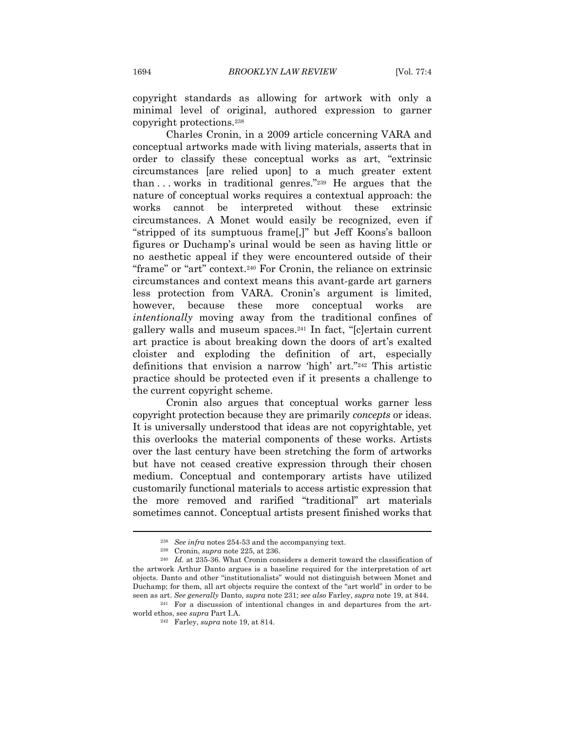copyright standards as allowing for artwork with only a minimal level of original, authored expression to garner copyright protections.238

Charles Cronin, in a 2009 article concerning VARA and conceptual artworks made with living materials, asserts that in order to classify these conceptual works as art, "extrinsic circumstances [are relied upon] to a much greater extent than . . . works in traditional genres."239 He argues that the nature of conceptual works requires a contextual approach: the works cannot be interpreted without these extrinsic circumstances. A Monet would easily be recognized, even if "stripped of its sumptuous frame[,]" but Jeff Koons's balloon figures or Duchamp's urinal would be seen as having little or no aesthetic appeal if they were encountered outside of their "frame" or "art" context.240 For Cronin, the reliance on extrinsic circumstances and context means this avant-garde art garners less protection from VARA. Cronin's argument is limited, however, because these more conceptual works are *intentionally* moving away from the traditional confines of gallery walls and museum spaces.241 In fact, "[c]ertain current art practice is about breaking down the doors of art's exalted cloister and exploding the definition of art, especially definitions that envision a narrow 'high' art."242 This artistic practice should be protected even if it presents a challenge to the current copyright scheme.

Cronin also argues that conceptual works garner less copyright protection because they are primarily *concepts* or ideas. It is universally understood that ideas are not copyrightable, yet this overlooks the material components of these works. Artists over the last century have been stretching the form of artworks but have not ceased creative expression through their chosen medium. Conceptual and contemporary artists have utilized customarily functional materials to access artistic expression that the more removed and rarified "traditional" art materials sometimes cannot. Conceptual artists present finished works that

<sup>&</sup>lt;sup>238</sup> See *infra* notes 254-53 and the accompanying text.<br><sup>239</sup> Cronin, *supra* note 225, at 236.<br><sup>240</sup> *Id.* at 235-36. What Cronin considers a demerit toward the classification of the artwork Arthur Danto argues is a baseline required for the interpretation of art objects. Danto and other "institutionalists" would not distinguish between Monet and Duchamp; for them, all art objects require the context of the "art world" in order to be

seen as art. *See generally* Danto, *supra* note 231; *see also* Farley, *supra* note 19, at 844. 241 For a discussion of intentional changes in and departures from the artworld ethos, see *supra* Part I.A. 242 Farley, *supra* note 19, at 814.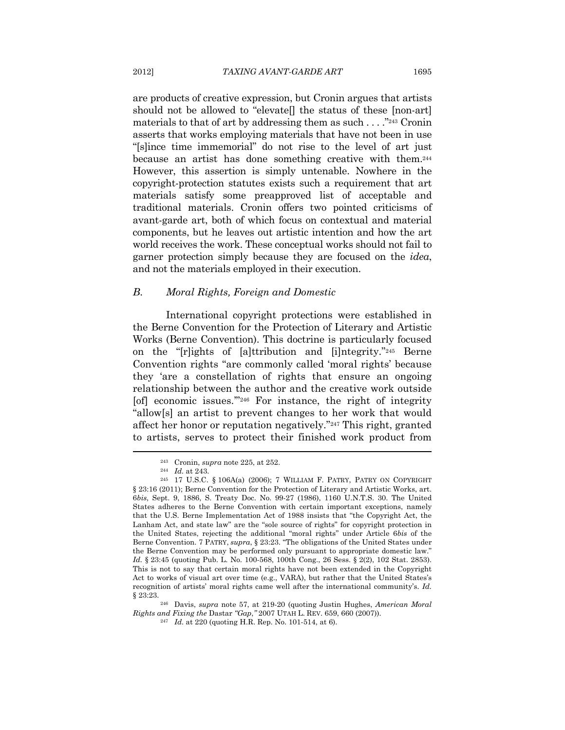are products of creative expression, but Cronin argues that artists should not be allowed to "elevate<sup>[]</sup> the status of these [non-art] materials to that of art by addressing them as such  $\dots$ ."<sup>243</sup> Cronin asserts that works employing materials that have not been in use "[s]ince time immemorial" do not rise to the level of art just because an artist has done something creative with them.244 However, this assertion is simply untenable. Nowhere in the copyright-protection statutes exists such a requirement that art materials satisfy some preapproved list of acceptable and traditional materials. Cronin offers two pointed criticisms of avant-garde art, both of which focus on contextual and material components, but he leaves out artistic intention and how the art world receives the work. These conceptual works should not fail to garner protection simply because they are focused on the *idea*, and not the materials employed in their execution.

## *B. Moral Rights, Foreign and Domestic*

International copyright protections were established in the Berne Convention for the Protection of Literary and Artistic Works (Berne Convention). This doctrine is particularly focused on the "[r]ights of [a]ttribution and [i]ntegrity."245 Berne Convention rights "are commonly called 'moral rights' because they 'are a constellation of rights that ensure an ongoing relationship between the author and the creative work outside [of] economic issues.'"246 For instance, the right of integrity "allow[s] an artist to prevent changes to her work that would affect her honor or reputation negatively."247 This right, granted to artists, serves to protect their finished work product from 

<sup>243</sup> Cronin, *supra* note 225, at 252. 244 *Id.* at 243. 245 17 U.S.C. § 106A(a) (2006); 7 WILLIAM F. PATRY, PATRY ON COPYRIGHT § 23:16 (2011); Berne Convention for the Protection of Literary and Artistic Works, art. 6*bis*, Sept. 9, 1886, S. Treaty Doc. No. 99-27 (1986), 1160 U.N.T.S. 30. The United States adheres to the Berne Convention with certain important exceptions, namely that the U.S. Berne Implementation Act of 1988 insists that "the Copyright Act, the Lanham Act, and state law" are the "sole source of rights" for copyright protection in the United States, rejecting the additional "moral rights" under Article 6*bis* of the Berne Convention. 7 PATRY, *supra*, § 23:23. "The obligations of the United States under the Berne Convention may be performed only pursuant to appropriate domestic law." *Id.* § 23:45 (quoting Pub. L. No. 100-568, 100th Cong., 26 Sess. § 2(2), 102 Stat. 2853). This is not to say that certain moral rights have not been extended in the Copyright Act to works of visual art over time (e.g., VARA), but rather that the United States's recognition of artists' moral rights came well after the international community's. *Id.*

<sup>§ 23:23. 246</sup> Davis, *supra* note 57, at 219-20 (quoting Justin Hughes, *American Moral Rights and Fixing the* Dastar *"Gap*,*"* 2007 UTAH L. REV. 659, 660 (2007)). 247 *Id.* at 220 (quoting H.R. Rep. No. 101-514, at 6).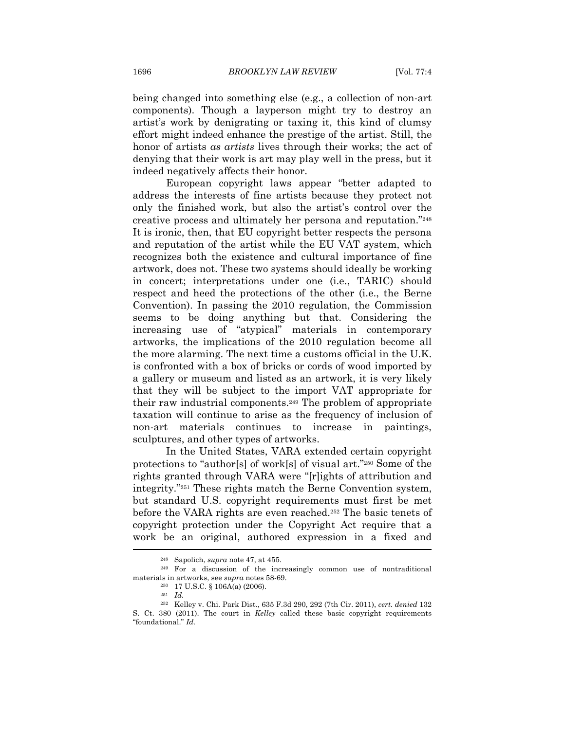being changed into something else (e.g., a collection of non-art components). Though a layperson might try to destroy an artist's work by denigrating or taxing it, this kind of clumsy effort might indeed enhance the prestige of the artist. Still, the honor of artists *as artists* lives through their works; the act of denying that their work is art may play well in the press, but it indeed negatively affects their honor.

European copyright laws appear "better adapted to address the interests of fine artists because they protect not only the finished work, but also the artist's control over the creative process and ultimately her persona and reputation."248 It is ironic, then, that EU copyright better respects the persona and reputation of the artist while the EU VAT system, which recognizes both the existence and cultural importance of fine artwork, does not. These two systems should ideally be working in concert; interpretations under one (i.e., TARIC) should respect and heed the protections of the other (i.e., the Berne Convention). In passing the 2010 regulation, the Commission seems to be doing anything but that. Considering the increasing use of "atypical" materials in contemporary artworks, the implications of the 2010 regulation become all the more alarming. The next time a customs official in the U.K. is confronted with a box of bricks or cords of wood imported by a gallery or museum and listed as an artwork, it is very likely that they will be subject to the import VAT appropriate for their raw industrial components.249 The problem of appropriate taxation will continue to arise as the frequency of inclusion of non-art materials continues to increase in paintings, sculptures, and other types of artworks.

In the United States, VARA extended certain copyright protections to "author[s] of work[s] of visual art."250 Some of the rights granted through VARA were "[r]ights of attribution and integrity."251 These rights match the Berne Convention system, but standard U.S. copyright requirements must first be met before the VARA rights are even reached.252 The basic tenets of copyright protection under the Copyright Act require that a work be an original, authored expression in a fixed and  $\overline{\phantom{a}}$ 

<sup>&</sup>lt;sup>248</sup> Sapolich, *supra* note 47, at 455.<br><sup>249</sup> For a discussion of the increasingly common use of nontraditional materials in artworks, see *supra* notes 58-69.<br><sup>250</sup> 17 U.S.C. § 106A(a) (2006).<br><sup>251</sup> *Id.* 

<sup>252</sup> Kelley v. Chi. Park Dist., 635 F.3d 290, 292 (7th Cir. 2011), *cert. denied* 132 S. Ct. 380 (2011). The court in *Kelley* called these basic copyright requirements "foundational." *Id.*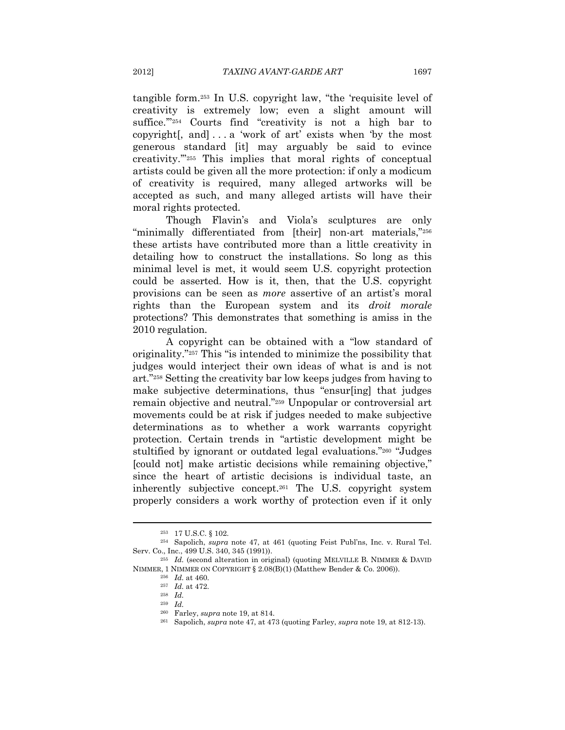tangible form.253 In U.S. copyright law, "the 'requisite level of creativity is extremely low; even a slight amount will suffice."<sup>254</sup> Courts find "creativity is not a high bar to copyright[, and] . . . a 'work of art' exists when 'by the most generous standard [it] may arguably be said to evince creativity.'"255 This implies that moral rights of conceptual artists could be given all the more protection: if only a modicum of creativity is required, many alleged artworks will be accepted as such, and many alleged artists will have their moral rights protected.

Though Flavin's and Viola's sculptures are only "minimally differentiated from [their] non-art materials,"256 these artists have contributed more than a little creativity in detailing how to construct the installations. So long as this minimal level is met, it would seem U.S. copyright protection could be asserted. How is it, then, that the U.S. copyright provisions can be seen as *more* assertive of an artist's moral rights than the European system and its *droit morale* protections? This demonstrates that something is amiss in the 2010 regulation.

A copyright can be obtained with a "low standard of originality."257 This "is intended to minimize the possibility that judges would interject their own ideas of what is and is not art."258 Setting the creativity bar low keeps judges from having to make subjective determinations, thus "ensur[ing] that judges remain objective and neutral."259 Unpopular or controversial art movements could be at risk if judges needed to make subjective determinations as to whether a work warrants copyright protection. Certain trends in "artistic development might be stultified by ignorant or outdated legal evaluations."260 "Judges [could not] make artistic decisions while remaining objective," since the heart of artistic decisions is individual taste, an inherently subjective concept.261 The U.S. copyright system properly considers a work worthy of protection even if it only

<sup>253 17</sup> U.S.C. § 102. 254 Sapolich, *supra* note 47, at 461 (quoting Feist Publ'ns, Inc. v. Rural Tel. Serv. Co., Inc., 499 U.S. 340, 345 (1991)). 255 *Id.* (second alteration in original) (quoting MELVILLE B. NIMMER & DAVID

NIMMER, 1 NIMMER ON COPYRIGHT § 2.08(B)(1) (Matthew Bender & Co. 2006)).<br><sup>256</sup> *Id.* at 460.<br><sup>257</sup> *Id.* at 472.<br><sup>258</sup> *Id.* 

<sup>259</sup> *Id.* 

<sup>260</sup> Farley, *supra* note 19, at 814. 261 Sapolich, *supra* note 47, at 473 (quoting Farley, *supra* note 19, at 812-13).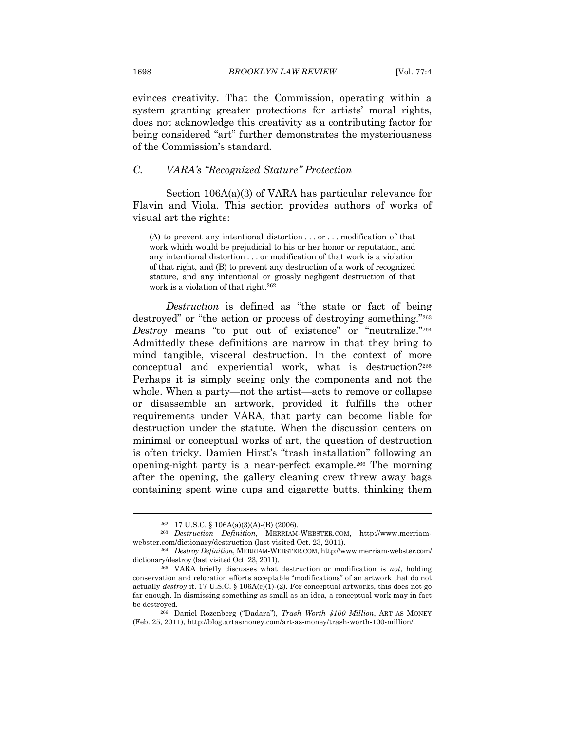evinces creativity. That the Commission, operating within a system granting greater protections for artists' moral rights, does not acknowledge this creativity as a contributing factor for being considered "art" further demonstrates the mysteriousness of the Commission's standard.

## *C. VARA's "Recognized Stature" Protection*

Section 106A(a)(3) of VARA has particular relevance for Flavin and Viola. This section provides authors of works of visual art the rights:

(A) to prevent any intentional distortion . . . or . . . modification of that work which would be prejudicial to his or her honor or reputation, and any intentional distortion . . . or modification of that work is a violation of that right, and (B) to prevent any destruction of a work of recognized stature, and any intentional or grossly negligent destruction of that work is a violation of that right.262

*Destruction* is defined as "the state or fact of being destroyed" or "the action or process of destroying something."263 *Destroy* means "to put out of existence" or "neutralize."264 Admittedly these definitions are narrow in that they bring to mind tangible, visceral destruction. In the context of more conceptual and experiential work, what is destruction?265 Perhaps it is simply seeing only the components and not the whole. When a party—not the artist—acts to remove or collapse or disassemble an artwork, provided it fulfills the other requirements under VARA, that party can become liable for destruction under the statute. When the discussion centers on minimal or conceptual works of art, the question of destruction is often tricky. Damien Hirst's "trash installation" following an opening-night party is a near-perfect example.266 The morning after the opening, the gallery cleaning crew threw away bags containing spent wine cups and cigarette butts, thinking them

<sup>262 17</sup> U.S.C. § 106A(a)(3)(A)-(B) (2006). 263 *Destruction Definition*, MERRIAM-WEBSTER.COM, http://www.merriam-

webster.com/dictionary/destruction (last visited Oct. 23, 2011). 264 *Destroy Definition*, MERRIAM-WEBSTER.COM, http://www.merriam-webster.com/ dictionary/destroy (last visited Oct. 23, 2011). 265 VARA briefly discusses what destruction or modification is *not*, holding

conservation and relocation efforts acceptable "modifications" of an artwork that do not actually *destroy* it. 17 U.S.C. § 106A(c)(1)-(2). For conceptual artworks, this does not go far enough. In dismissing something as small as an idea, a conceptual work may in fact be destroyed. 266 Daniel Rozenberg ("Dadara"), *Trash Worth \$100 Million*, ART AS MONEY

<sup>(</sup>Feb. 25, 2011), http://blog.artasmoney.com/art-as-money/trash-worth-100-million/.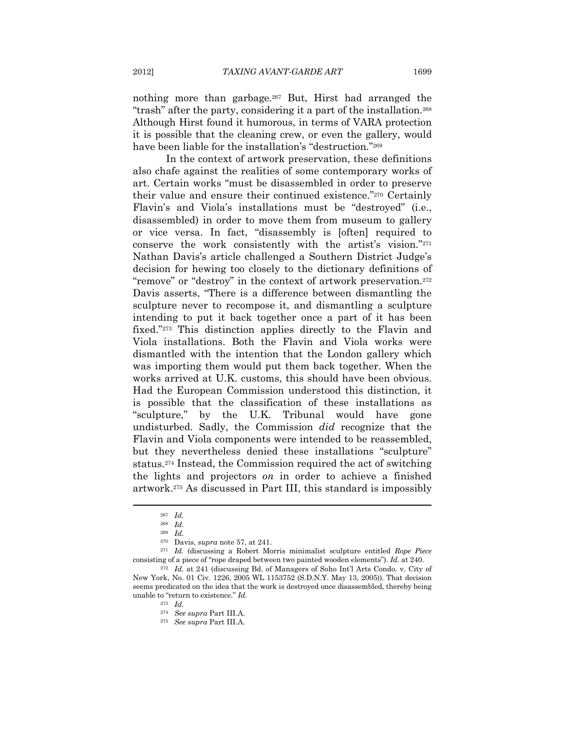nothing more than garbage.267 But, Hirst had arranged the "trash" after the party, considering it a part of the installation.268 Although Hirst found it humorous, in terms of VARA protection it is possible that the cleaning crew, or even the gallery, would have been liable for the installation's "destruction."269

In the context of artwork preservation, these definitions also chafe against the realities of some contemporary works of art. Certain works "must be disassembled in order to preserve their value and ensure their continued existence."270 Certainly Flavin's and Viola's installations must be "destroyed" (i.e., disassembled) in order to move them from museum to gallery or vice versa. In fact, "disassembly is [often] required to conserve the work consistently with the artist's vision."271 Nathan Davis's article challenged a Southern District Judge's decision for hewing too closely to the dictionary definitions of "remove" or "destroy" in the context of artwork preservation.<sup>272</sup> Davis asserts, "There is a difference between dismantling the sculpture never to recompose it, and dismantling a sculpture intending to put it back together once a part of it has been fixed."273 This distinction applies directly to the Flavin and Viola installations. Both the Flavin and Viola works were dismantled with the intention that the London gallery which was importing them would put them back together. When the works arrived at U.K. customs, this should have been obvious. Had the European Commission understood this distinction, it is possible that the classification of these installations as "sculpture," by the U.K. Tribunal would have gone undisturbed. Sadly, the Commission *did* recognize that the Flavin and Viola components were intended to be reassembled, but they nevertheless denied these installations "sculpture" status.274 Instead, the Commission required the act of switching the lights and projectors *on* in order to achieve a finished artwork.275 As discussed in Part III, this standard is impossibly

<sup>267</sup> *Id.* 

<sup>268</sup> *Id.* 

<sup>&</sup>lt;sup>269</sup> *Id.* Davis, *supra* note 57, at 241.

<sup>&</sup>lt;sup>271</sup> Id. (discussing a Robert Morris minimalist sculpture entitled *Rope Piece* consisting of a piece of "rope draped between two painted wooden elements"). *Id.* at 240. 272 *Id.* at 241 (discussing Bd. of Managers of Soho Int'l Arts Condo. v. City of

New York, No. 01 Civ. 1226, 2005 WL 1153752 (S.D.N.Y. May 13, 2005)). That decision seems predicated on the idea that the work is destroyed once disassembled, thereby being unable to "return to existence." *Id.*

<sup>273</sup> *Id.* 

<sup>274</sup> *See supra* Part III.A. 275 *See supra* Part III.A.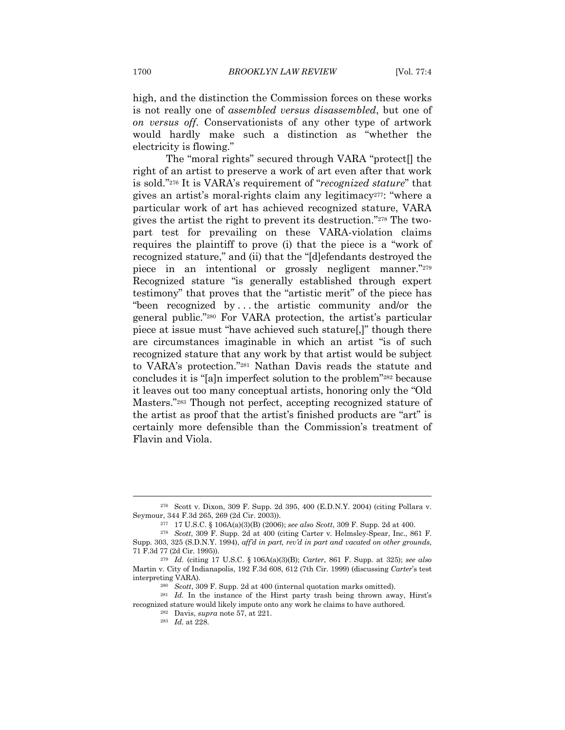high, and the distinction the Commission forces on these works is not really one of *assembled versus disassembled*, but one of *on versus off*. Conservationists of any other type of artwork would hardly make such a distinction as "whether the electricity is flowing."

The "moral rights" secured through VARA "protect[] the right of an artist to preserve a work of art even after that work is sold."276 It is VARA's requirement of "*recognized stature*" that gives an artist's moral-rights claim any legitimacy277: "where a particular work of art has achieved recognized stature, VARA gives the artist the right to prevent its destruction."278 The twopart test for prevailing on these VARA-violation claims requires the plaintiff to prove (i) that the piece is a "work of recognized stature," and (ii) that the "[d]efendants destroyed the piece in an intentional or grossly negligent manner."279 Recognized stature "is generally established through expert testimony" that proves that the "artistic merit" of the piece has "been recognized by . . . the artistic community and/or the general public."280 For VARA protection, the artist's particular piece at issue must "have achieved such stature[,]" though there are circumstances imaginable in which an artist "is of such recognized stature that any work by that artist would be subject to VARA's protection."281 Nathan Davis reads the statute and concludes it is "[a]n imperfect solution to the problem"282 because it leaves out too many conceptual artists, honoring only the "Old Masters."283 Though not perfect, accepting recognized stature of the artist as proof that the artist's finished products are "art" is certainly more defensible than the Commission's treatment of Flavin and Viola.

recognized stature would likely impute onto any work he claims to have authored. 282 Davis, *supra* note 57, at 221. 283 *Id.* at 228.

<sup>276</sup> Scott v. Dixon, 309 F. Supp. 2d 395, 400 (E.D.N.Y. 2004) (citing Pollara v. Seymour, 344 F.3d 265, 269 (2d Cir. 2003)). 277 17 U.S.C. § 106A(a)(3)(B) (2006); *see also Scott*, 309 F. Supp. 2d at 400. 278 *Scott*, 309 F. Supp. 2d at 400 (citing Carter v. Helmsley-Spear, Inc., 861 F.

Supp. 303, 325 (S.D.N.Y. 1994), *aff'd in part, rev'd in part and vacated on other grounds*, 71 F.3d 77 (2d Cir. 1995)). 279 *Id.* (citing 17 U.S.C. § 106A(a)(3)(B); *Carter*, 861 F. Supp. at 325); *see also* 

Martin v. City of Indianapolis, 192 F.3d 608, 612 (7th Cir. 1999) (discussing *Carter*'s test interpreting VARA). 280 *Scott*, 309 F. Supp. 2d at 400 (internal quotation marks omitted). 281 *Id.* In the instance of the Hirst party trash being thrown away, Hirst's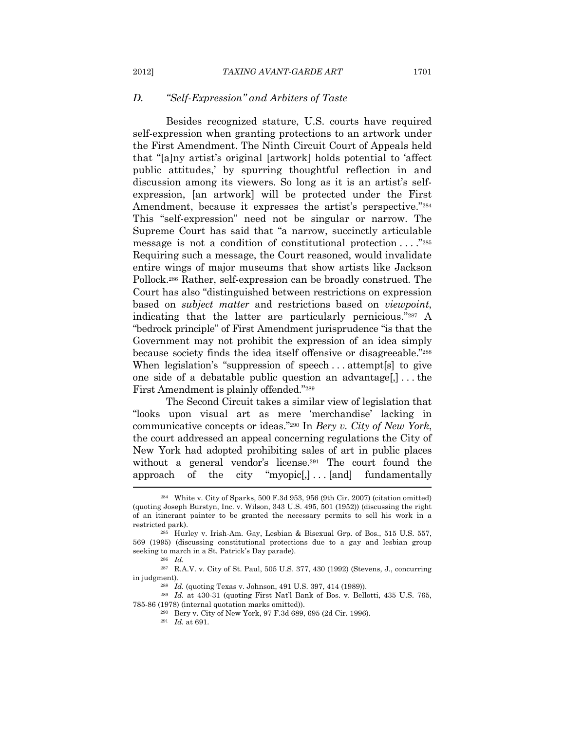## *D. "Self-Expression" and Arbiters of Taste*

Besides recognized stature, U.S. courts have required self-expression when granting protections to an artwork under the First Amendment. The Ninth Circuit Court of Appeals held that "[a]ny artist's original [artwork] holds potential to 'affect public attitudes,' by spurring thoughtful reflection in and discussion among its viewers. So long as it is an artist's selfexpression, [an artwork] will be protected under the First Amendment, because it expresses the artist's perspective."284 This "self-expression" need not be singular or narrow. The Supreme Court has said that "a narrow, succinctly articulable message is not a condition of constitutional protection  $\dots$ ."285 Requiring such a message, the Court reasoned, would invalidate entire wings of major museums that show artists like Jackson Pollock.286 Rather, self-expression can be broadly construed. The Court has also "distinguished between restrictions on expression based on *subject matter* and restrictions based on *viewpoint*, indicating that the latter are particularly pernicious."287 A "bedrock principle" of First Amendment jurisprudence "is that the Government may not prohibit the expression of an idea simply because society finds the idea itself offensive or disagreeable."288 When legislation's "suppression of speech...attempt<sup>[s]</sup> to give one side of a debatable public question an advantage[,] . . . the First Amendment is plainly offended."289

The Second Circuit takes a similar view of legislation that "looks upon visual art as mere 'merchandise' lacking in communicative concepts or ideas."290 In *Bery v. City of New York*, the court addressed an appeal concerning regulations the City of New York had adopted prohibiting sales of art in public places without a general vendor's license.291 The court found the approach of the city "myopic $[$ , $] \ldots$  [and] fundamentally

785-86 (1978) (internal quotation marks omitted)). 290 Bery v. City of New York, 97 F.3d 689, 695 (2d Cir. 1996). 291 *Id.* at 691.

<sup>284</sup> White v. City of Sparks, 500 F.3d 953, 956 (9th Cir. 2007) (citation omitted) (quoting Joseph Burstyn, Inc. v. Wilson, 343 U.S. 495, 501 (1952)) (discussing the right of an itinerant painter to be granted the necessary permits to sell his work in a restricted park). 285 Hurley v. Irish-Am. Gay, Lesbian & Bisexual Grp. of Bos., 515 U.S. 557,

<sup>569 (1995) (</sup>discussing constitutional protections due to a gay and lesbian group seeking to march in a St. Patrick's Day parade). 286 *Id.* 

<sup>287</sup> R.A.V. v. City of St. Paul, 505 U.S. 377, 430 (1992) (Stevens, J., concurring in judgment).<br><sup>288</sup> *Id.* (quoting Texas v. Johnson, 491 U.S. 397, 414 (1989)).<br><sup>289</sup> *Id.* at 430-31 (quoting First Nat'l Bank of Bos. v. Bellotti, 435 U.S. 765,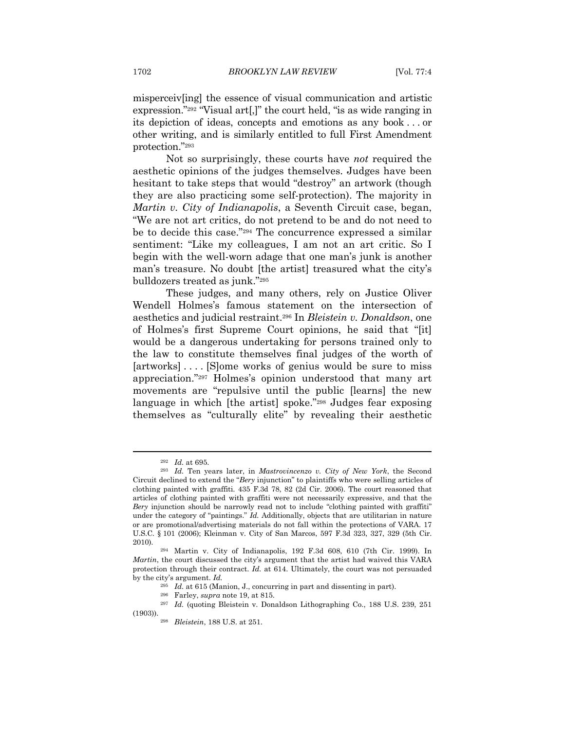misperceiv[ing] the essence of visual communication and artistic expression."292 "Visual art[,]" the court held, "is as wide ranging in its depiction of ideas, concepts and emotions as any book . . . or other writing, and is similarly entitled to full First Amendment protection."293

Not so surprisingly, these courts have *not* required the aesthetic opinions of the judges themselves. Judges have been hesitant to take steps that would "destroy" an artwork (though they are also practicing some self-protection). The majority in *Martin v. City of Indianapolis*, a Seventh Circuit case, began, "We are not art critics, do not pretend to be and do not need to be to decide this case."294 The concurrence expressed a similar sentiment: "Like my colleagues, I am not an art critic. So I begin with the well-worn adage that one man's junk is another man's treasure. No doubt [the artist] treasured what the city's bulldozers treated as junk."295

These judges, and many others, rely on Justice Oliver Wendell Holmes's famous statement on the intersection of aesthetics and judicial restraint.296 In *Bleistein v. Donaldson*, one of Holmes's first Supreme Court opinions, he said that "[it] would be a dangerous undertaking for persons trained only to the law to constitute themselves final judges of the worth of [artworks] . . . . [S]ome works of genius would be sure to miss appreciation."297 Holmes's opinion understood that many art movements are "repulsive until the public [learns] the new language in which [the artist] spoke."298 Judges fear exposing themselves as "culturally elite" by revealing their aesthetic

<sup>295</sup> *Id.* at 615 (Manion, J., concurring in part and dissenting in part). 296 Farley, *supra* note 19, at 815. 297 *Id.* (quoting Bleistein v. Donaldson Lithographing Co., 188 U.S. 239, 251

<sup>292</sup> *Id.* at 695. 293 *Id.* Ten years later, in *Mastrovincenzo v. City of New York*, the Second Circuit declined to extend the "*Bery* injunction" to plaintiffs who were selling articles of clothing painted with graffiti. 435 F.3d 78, 82 (2d Cir. 2006). The court reasoned that articles of clothing painted with graffiti were not necessarily expressive, and that the *Bery* injunction should be narrowly read not to include "clothing painted with graffiti" under the category of "paintings." *Id.* Additionally, objects that are utilitarian in nature or are promotional/advertising materials do not fall within the protections of VARA. 17 U.S.C. § 101 (2006); Kleinman v. City of San Marcos, 597 F.3d 323, 327, 329 (5th Cir.

<sup>2010). 294</sup> Martin v. City of Indianapolis, 192 F.3d 608, 610 (7th Cir. 1999). In *Martin*, the court discussed the city's argument that the artist had waived this VARA protection through their contract. *Id.* at 614. Ultimately, the court was not persuaded by the city's argument. *Id.* 

<sup>(1903)). 298</sup> *Bleistein*, 188 U.S. at 251.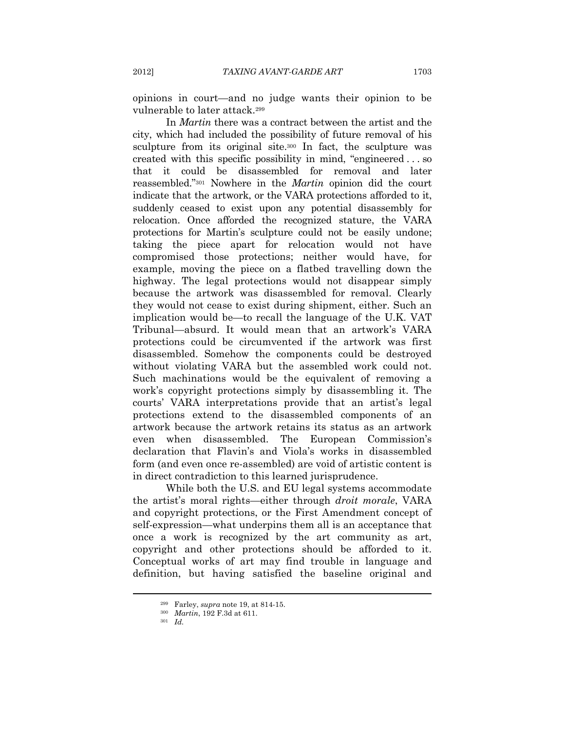opinions in court—and no judge wants their opinion to be vulnerable to later attack.299

In *Martin* there was a contract between the artist and the city, which had included the possibility of future removal of his sculpture from its original site.<sup>300</sup> In fact, the sculpture was created with this specific possibility in mind, "engineered . . . so that it could be disassembled for removal and later reassembled."301 Nowhere in the *Martin* opinion did the court indicate that the artwork, or the VARA protections afforded to it, suddenly ceased to exist upon any potential disassembly for relocation. Once afforded the recognized stature, the VARA protections for Martin's sculpture could not be easily undone; taking the piece apart for relocation would not have compromised those protections; neither would have, for example, moving the piece on a flatbed travelling down the highway. The legal protections would not disappear simply because the artwork was disassembled for removal. Clearly they would not cease to exist during shipment, either. Such an implication would be—to recall the language of the U.K. VAT Tribunal—absurd. It would mean that an artwork's VARA protections could be circumvented if the artwork was first disassembled. Somehow the components could be destroyed without violating VARA but the assembled work could not. Such machinations would be the equivalent of removing a work's copyright protections simply by disassembling it. The courts' VARA interpretations provide that an artist's legal protections extend to the disassembled components of an artwork because the artwork retains its status as an artwork even when disassembled. The European Commission's declaration that Flavin's and Viola's works in disassembled form (and even once re-assembled) are void of artistic content is in direct contradiction to this learned jurisprudence.

While both the U.S. and EU legal systems accommodate the artist's moral rights—either through *droit morale*, VARA and copyright protections, or the First Amendment concept of self-expression—what underpins them all is an acceptance that once a work is recognized by the art community as art, copyright and other protections should be afforded to it. Conceptual works of art may find trouble in language and definition, but having satisfied the baseline original and

<sup>299</sup> Farley, *supra* note 19, at 814-15. 300 *Martin*, 192 F.3d at 611. 301 *Id.*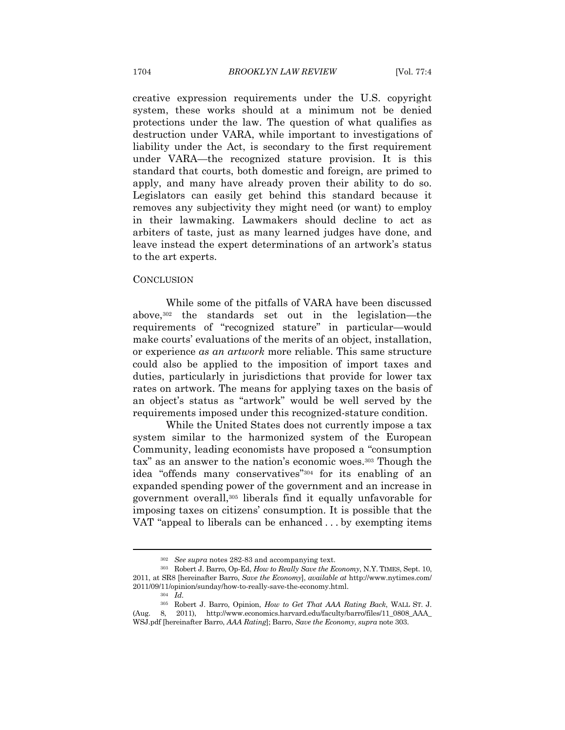creative expression requirements under the U.S. copyright system, these works should at a minimum not be denied protections under the law. The question of what qualifies as destruction under VARA, while important to investigations of liability under the Act, is secondary to the first requirement under VARA—the recognized stature provision. It is this standard that courts, both domestic and foreign, are primed to apply, and many have already proven their ability to do so. Legislators can easily get behind this standard because it removes any subjectivity they might need (or want) to employ in their lawmaking. Lawmakers should decline to act as arbiters of taste, just as many learned judges have done, and leave instead the expert determinations of an artwork's status to the art experts.

#### **CONCLUSION**

While some of the pitfalls of VARA have been discussed above,302 the standards set out in the legislation—the requirements of "recognized stature" in particular—would make courts' evaluations of the merits of an object, installation, or experience *as an artwork* more reliable. This same structure could also be applied to the imposition of import taxes and duties, particularly in jurisdictions that provide for lower tax rates on artwork. The means for applying taxes on the basis of an object's status as "artwork" would be well served by the requirements imposed under this recognized-stature condition.

While the United States does not currently impose a tax system similar to the harmonized system of the European Community, leading economists have proposed a "consumption tax" as an answer to the nation's economic woes.303 Though the idea "offends many conservatives"304 for its enabling of an expanded spending power of the government and an increase in government overall,305 liberals find it equally unfavorable for imposing taxes on citizens' consumption. It is possible that the VAT "appeal to liberals can be enhanced . . . by exempting items

<sup>302</sup> *See supra* notes 282-83 and accompanying text. 303 Robert J. Barro, Op-Ed, *How to Really Save the Economy*, N.Y. TIMES, Sept. 10, 2011, at SR8 [hereinafter Barro, *Save the Economy*], *available at* http://www.nytimes.com/ 2011/09/11/opinion/sunday/how-to-really-save-the-economy.html. 304 *Id.* 

<sup>305</sup> Robert J. Barro, Opinion, *How to Get That AAA Rating Back*, WALL ST. J. (Aug. 8, 2011), http://www.economics.harvard.edu/faculty/barro/files/11\_0808\_AAA\_ WSJ.pdf [hereinafter Barro, *AAA Rating*]; Barro, *Save the Economy*, *supra* note 303.